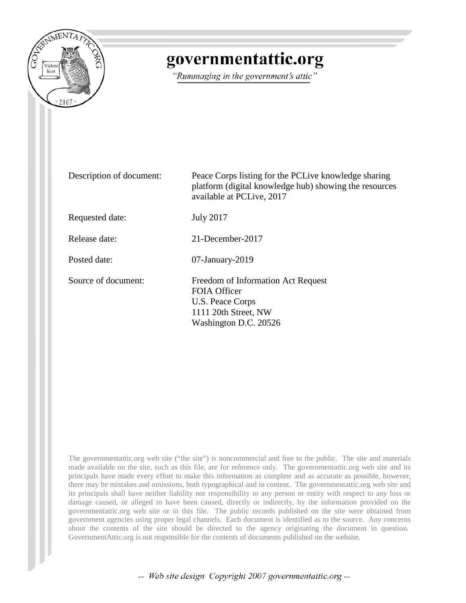

## governmentattic.org

"Rummaging in the government's attic"

| Description of document: | Peace Corps listing for the PCLive knowledge sharing<br>platform (digital knowledge hub) showing the resources<br>available at PCLive, 2017 |
|--------------------------|---------------------------------------------------------------------------------------------------------------------------------------------|
| Requested date:          | <b>July 2017</b>                                                                                                                            |
| Release date:            | 21-December-2017                                                                                                                            |
| Posted date:             | $07$ -January- $2019$                                                                                                                       |
| Source of document:      | Freedom of Information Act Request<br><b>FOIA Officer</b><br>U.S. Peace Corps<br>1111 20th Street, NW<br>Washington D.C. 20526              |

The governmentattic.org web site ("the site") is noncommercial and free to the public. The site and materials made available on the site, such as this file, are for reference only. The governmentattic.org web site and its principals have made every effort to make this information as complete and as accurate as possible, however, there may be mistakes and omissions, both typographical and in content. The governmentattic.org web site and its principals shall have neither liability nor responsibility to any person or entity with respect to any loss or damage caused, or alleged to have been caused, directly or indirectly, by the information provided on the governmentattic.org web site or in this file. The public records published on the site were obtained from government agencies using proper legal channels. Each document is identified as to the source. Any concerns about the contents of the site should be directed to the agency originating the document in question. GovernmentAttic.org is not responsible for the contents of documents published on the website.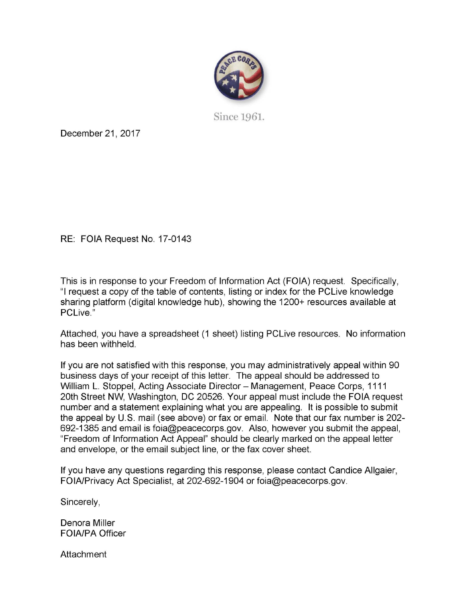

Since 1961.

December 21, 2017

RE: FOIA Request No. 17-0143

This is in response to your Freedom of Information Act (FOIA) request. Specifically, "I request a copy of the table of contents, listing or index for the PCLive knowledge sharing platform ( digital knowledge hub), showing the 1200+ resources available at PCLive."

Attached, you have a spreadsheet (1 sheet) listing PCLive resources. No information has been withheld.

If you are not satisfied with this response, you may administratively appeal within 90 business days of your receipt of this letter. The appeal should be addressed to William L. Stoppel, Acting Associate Director - Management, Peace Corps, 1111 20th Street NW, Washington, DC 20526. Your appeal must include the FOIA request number and a statement explaining what you are appealing. It is possible to submit the appeal by U.S. mail (see above) or fax or email. Note that our fax number is 202- 692-1385 and email is foia@peacecorps.gov. Also, however you submit the appeal, "Freedom of Information Act Appeal" should be clearly marked on the appeal letter and envelope, or the email subject line, or the fax cover sheet.

If you have any questions regarding this response, please contact Candice Allgaier, FOIA/Privacy Act Specialist, at 202-692-1904 or foia@peacecorps.gov.

Sincerely,

Denora Miller FOIA/PA Officer

**Attachment**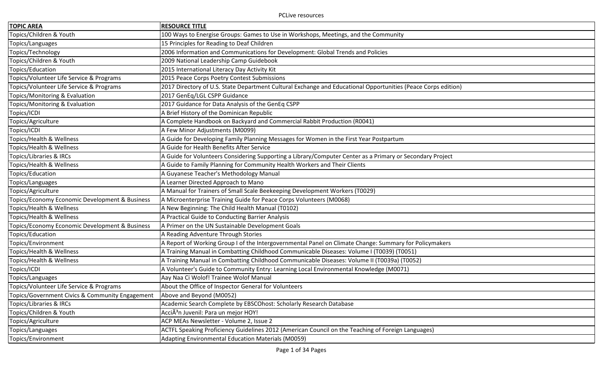| <b>TOPIC AREA</b>                               | <b>RESOURCE TITLE</b>                                                                                         |
|-------------------------------------------------|---------------------------------------------------------------------------------------------------------------|
| Topics/Children & Youth                         | 100 Ways to Energise Groups: Games to Use in Workshops, Meetings, and the Community                           |
| Topics/Languages                                | 15 Principles for Reading to Deaf Children                                                                    |
| Topics/Technology                               | 2006 Information and Communications for Development: Global Trends and Policies                               |
| Topics/Children & Youth                         | 2009 National Leadership Camp Guidebook                                                                       |
| Topics/Education                                | 2015 International Literacy Day Activity Kit                                                                  |
| Topics/Volunteer Life Service & Programs        | 2015 Peace Corps Poetry Contest Submissions                                                                   |
| Topics/Volunteer Life Service & Programs        | 2017 Directory of U.S. State Department Cultural Exchange and Educational Opportunities (Peace Corps edition) |
| Topics/Monitoring & Evaluation                  | 2017 GenEq/LGL CSPP Guidance                                                                                  |
| Topics/Monitoring & Evaluation                  | 2017 Guidance for Data Analysis of the GenEq CSPP                                                             |
| Topics/ICDI                                     | A Brief History of the Dominican Republic                                                                     |
| Topics/Agriculture                              | A Complete Handbook on Backyard and Commercial Rabbit Production (R0041)                                      |
| Topics/ICDI                                     | A Few Minor Adjustments (M0099)                                                                               |
| Topics/Health & Wellness                        | A Guide for Developing Family Planning Messages for Women in the First Year Postpartum                        |
| Topics/Health & Wellness                        | A Guide for Health Benefits After Service                                                                     |
| Topics/Libraries & IRCs                         | A Guide for Volunteers Considering Supporting a Library/Computer Center as a Primary or Secondary Project     |
| Topics/Health & Wellness                        | A Guide to Family Planning for Community Health Workers and Their Clients                                     |
| Topics/Education                                | A Guyanese Teacher's Methodology Manual                                                                       |
| Topics/Languages                                | A Learner Directed Approach to Mano                                                                           |
| Topics/Agriculture                              | A Manual for Trainers of Small Scale Beekeeping Development Workers (T0029)                                   |
| Topics/Economy Economic Development & Business  | A Microenterprise Training Guide for Peace Corps Volunteers (M0068)                                           |
| Topics/Health & Wellness                        | A New Beginning: The Child Health Manual (T0102)                                                              |
| Topics/Health & Wellness                        | A Practical Guide to Conducting Barrier Analysis                                                              |
| Topics/Economy Economic Development & Business  | A Primer on the UN Sustainable Development Goals                                                              |
| Topics/Education                                | A Reading Adventure Through Stories                                                                           |
| Topics/Environment                              | A Report of Working Group I of the Intergovernmental Panel on Climate Change: Summary for Policymakers        |
| Topics/Health & Wellness                        | A Training Manual in Combatting Childhood Communicable Diseases: Volume I (T0039) (T0051)                     |
| Topics/Health & Wellness                        | A Training Manual in Combatting Childhood Communicable Diseases: Volume II (T0039a) (T0052)                   |
| Topics/ICDI                                     | A Volunteer's Guide to Community Entry: Learning Local Environmental Knowledge (M0071)                        |
| Topics/Languages                                | Aay Naa Ci Wolof! Trainee Wolof Manual                                                                        |
| Topics/Volunteer Life Service & Programs        | About the Office of Inspector General for Volunteers                                                          |
| Topics/Government Civics & Community Engagement | Above and Beyond (M0052)                                                                                      |
| Topics/Libraries & IRCs                         | Academic Search Complete by EBSCOhost: Scholarly Research Database                                            |
| Topics/Children & Youth                         | AcciÃ <sup>3</sup> n Juvenil: Para un mejor HOY!                                                              |
| Topics/Agriculture                              | ACP MEAs Newsletter - Volume 2, Issue 2                                                                       |
| Topics/Languages                                | ACTFL Speaking Proficiency Guidelines 2012 (American Council on the Teaching of Foreign Languages)            |
| Topics/Environment                              | Adapting Environmental Education Materials (M0059)                                                            |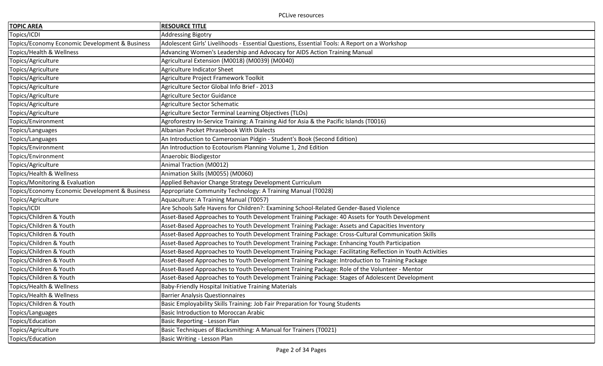| <b>TOPIC AREA</b>                              | <b>RESOURCE TITLE</b>                                                                                     |
|------------------------------------------------|-----------------------------------------------------------------------------------------------------------|
| Topics/ICDI                                    | <b>Addressing Bigotry</b>                                                                                 |
| Topics/Economy Economic Development & Business | Adolescent Girls' Livelihoods - Essential Questions, Essential Tools: A Report on a Workshop              |
| Topics/Health & Wellness                       | Advancing Women's Leadership and Advocacy for AIDS Action Training Manual                                 |
| Topics/Agriculture                             | Agricultural Extension (M0018) (M0039) (M0040)                                                            |
| Topics/Agriculture                             | Agriculture Indicator Sheet                                                                               |
| Topics/Agriculture                             | Agriculture Project Framework Toolkit                                                                     |
| Topics/Agriculture                             | Agriculture Sector Global Info Brief - 2013                                                               |
| Topics/Agriculture                             | Agriculture Sector Guidance                                                                               |
| Topics/Agriculture                             | Agriculture Sector Schematic                                                                              |
| Topics/Agriculture                             | Agriculture Sector Terminal Learning Objectives (TLOs)                                                    |
| Topics/Environment                             | Agroforestry In-Service Training: A Training Aid for Asia & the Pacific Islands (T0016)                   |
| Topics/Languages                               | Albanian Pocket Phrasebook With Dialects                                                                  |
| Topics/Languages                               | An Introduction to Cameroonian Pidgin - Student's Book (Second Edition)                                   |
| Topics/Environment                             | An Introduction to Ecotourism Planning Volume 1, 2nd Edition                                              |
| Topics/Environment                             | Anaerobic Biodigestor                                                                                     |
| Topics/Agriculture                             | Animal Traction (M0012)                                                                                   |
| Topics/Health & Wellness                       | Animation Skills (M0055) (M0060)                                                                          |
| Topics/Monitoring & Evaluation                 | Applied Behavior Change Strategy Development Curriculum                                                   |
| Topics/Economy Economic Development & Business | Appropriate Community Technology: A Training Manual (T0028)                                               |
| Topics/Agriculture                             | Aquaculture: A Training Manual (T0057)                                                                    |
| Topics/ICDI                                    | Are Schools Safe Havens for Children?: Examining School-Related Gender-Based Violence                     |
| Topics/Children & Youth                        | Asset-Based Approaches to Youth Development Training Package: 40 Assets for Youth Development             |
| Topics/Children & Youth                        | Asset-Based Approaches to Youth Development Training Package: Assets and Capacities Inventory             |
| Topics/Children & Youth                        | Asset-Based Approaches to Youth Development Training Package: Cross-Cultural Communication Skills         |
| Topics/Children & Youth                        | Asset-Based Approaches to Youth Development Training Package: Enhancing Youth Participation               |
| Topics/Children & Youth                        | Asset-Based Approaches to Youth Development Training Package: Facilitating Reflection in Youth Activities |
| Topics/Children & Youth                        | Asset-Based Approaches to Youth Development Training Package: Introduction to Training Package            |
| Topics/Children & Youth                        | Asset-Based Approaches to Youth Development Training Package: Role of the Volunteer - Mentor              |
| Topics/Children & Youth                        | Asset-Based Approaches to Youth Development Training Package: Stages of Adolescent Development            |
| Topics/Health & Wellness                       | <b>Baby-Friendly Hospital Initiative Training Materials</b>                                               |
| Topics/Health & Wellness                       | <b>Barrier Analysis Questionnaires</b>                                                                    |
| Topics/Children & Youth                        | Basic Employability Skills Training: Job Fair Preparation for Young Students                              |
| Topics/Languages                               | <b>Basic Introduction to Moroccan Arabic</b>                                                              |
| Topics/Education                               | Basic Reporting - Lesson Plan                                                                             |
| Topics/Agriculture                             | Basic Techniques of Blacksmithing: A Manual for Trainers (T0021)                                          |
| Topics/Education                               | Basic Writing - Lesson Plan                                                                               |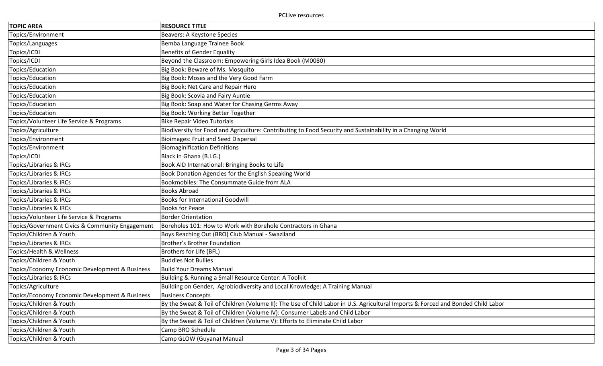| <b>TOPIC AREA</b>                               | <b>RESOURCE TITLE</b>                                                                                                            |
|-------------------------------------------------|----------------------------------------------------------------------------------------------------------------------------------|
| Topics/Environment                              | <b>Beavers: A Keystone Species</b>                                                                                               |
| Topics/Languages                                | Bemba Language Trainee Book                                                                                                      |
| Topics/ICDI                                     | <b>Benefits of Gender Equality</b>                                                                                               |
| Topics/ICDI                                     | Beyond the Classroom: Empowering Girls Idea Book (M0080)                                                                         |
| Topics/Education                                | Big Book: Beware of Ms. Mosquito                                                                                                 |
| Topics/Education                                | Big Book: Moses and the Very Good Farm                                                                                           |
| Topics/Education                                | Big Book: Net Care and Repair Hero                                                                                               |
| Topics/Education                                | Big Book: Scovia and Fairy Auntie                                                                                                |
| Topics/Education                                | Big Book: Soap and Water for Chasing Germs Away                                                                                  |
| Topics/Education                                | Big Book: Working Better Together                                                                                                |
| Topics/Volunteer Life Service & Programs        | <b>Bike Repair Video Tutorials</b>                                                                                               |
| Topics/Agriculture                              | Biodiversity for Food and Agriculture: Contributing to Food Security and Sustainability in a Changing World                      |
| Topics/Environment                              | <b>Bioimages: Fruit and Seed Dispersal</b>                                                                                       |
| Topics/Environment                              | <b>Biomaginification Definitions</b>                                                                                             |
| Topics/ICDI                                     | Black in Ghana (B.I.G.)                                                                                                          |
| <b>Topics/Libraries &amp; IRCs</b>              | Book AID International: Bringing Books to Life                                                                                   |
| Topics/Libraries & IRCs                         | Book Donation Agencies for the English Speaking World                                                                            |
| Topics/Libraries & IRCs                         | Bookmobiles: The Consummate Guide from ALA                                                                                       |
| Topics/Libraries & IRCs                         | <b>Books Abroad</b>                                                                                                              |
| Topics/Libraries & IRCs                         | <b>Books for International Goodwill</b>                                                                                          |
| Topics/Libraries & IRCs                         | <b>Books for Peace</b>                                                                                                           |
| Topics/Volunteer Life Service & Programs        | <b>Border Orientation</b>                                                                                                        |
| Topics/Government Civics & Community Engagement | Boreholes 101: How to Work with Borehole Contractors in Ghana                                                                    |
| Topics/Children & Youth                         | Boys Reaching Out (BRO) Club Manual - Swaziland                                                                                  |
| <b>Topics/Libraries &amp; IRCs</b>              | <b>Brother's Brother Foundation</b>                                                                                              |
| Topics/Health & Wellness                        | Brothers for Life (BFL)                                                                                                          |
| Topics/Children & Youth                         | <b>Buddies Not Bullies</b>                                                                                                       |
| Topics/Economy Economic Development & Business  | <b>Build Your Dreams Manual</b>                                                                                                  |
| Topics/Libraries & IRCs                         | Building & Running a Small Resource Center: A Toolkit                                                                            |
| Topics/Agriculture                              | Building on Gender, Agrobiodiversity and Local Knowledge: A Training Manual                                                      |
| Topics/Economy Economic Development & Business  | <b>Business Concepts</b>                                                                                                         |
| Topics/Children & Youth                         | By the Sweat & Toil of Children (Volume II): The Use of Child Labor in U.S. Agricultural Imports & Forced and Bonded Child Labor |
| Topics/Children & Youth                         | By the Sweat & Toil of Children (Volume IV): Consumer Labels and Child Labor                                                     |
| Topics/Children & Youth                         | By the Sweat & Toil of Children (Volume V): Efforts to Eliminate Child Labor                                                     |
| Topics/Children & Youth                         | Camp BRO Schedule                                                                                                                |
| Topics/Children & Youth                         | Camp GLOW (Guyana) Manual                                                                                                        |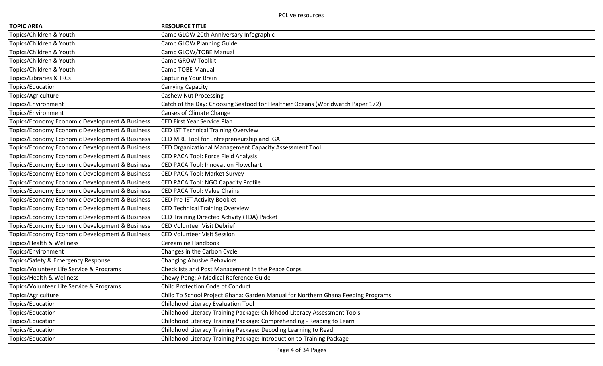| <b>TOPIC AREA</b>                              | <b>RESOURCE TITLE</b>                                                            |
|------------------------------------------------|----------------------------------------------------------------------------------|
| Topics/Children & Youth                        | Camp GLOW 20th Anniversary Infographic                                           |
| Topics/Children & Youth                        | Camp GLOW Planning Guide                                                         |
| Topics/Children & Youth                        | Camp GLOW/TOBE Manual                                                            |
| Topics/Children & Youth                        | Camp GROW Toolkit                                                                |
| Topics/Children & Youth                        | Camp TOBE Manual                                                                 |
| Topics/Libraries & IRCs                        | <b>Capturing Your Brain</b>                                                      |
| Topics/Education                               | Carrying Capacity                                                                |
| Topics/Agriculture                             | <b>Cashew Nut Processing</b>                                                     |
| Topics/Environment                             | Catch of the Day: Choosing Seafood for Healthier Oceans (Worldwatch Paper 172)   |
| Topics/Environment                             | <b>Causes of Climate Change</b>                                                  |
| Topics/Economy Economic Development & Business | <b>CED First Year Service Plan</b>                                               |
| Topics/Economy Economic Development & Business | <b>CED IST Technical Training Overview</b>                                       |
| Topics/Economy Economic Development & Business | CED MRE Tool for Entrepreneurship and IGA                                        |
| Topics/Economy Economic Development & Business | CED Organizational Management Capacity Assessment Tool                           |
| Topics/Economy Economic Development & Business | CED PACA Tool: Force Field Analysis                                              |
| Topics/Economy Economic Development & Business | <b>CED PACA Tool: Innovation Flowchart</b>                                       |
| Topics/Economy Economic Development & Business | CED PACA Tool: Market Survey                                                     |
| Topics/Economy Economic Development & Business | CED PACA Tool: NGO Capacity Profile                                              |
| Topics/Economy Economic Development & Business | <b>CED PACA Tool: Value Chains</b>                                               |
| Topics/Economy Economic Development & Business | <b>CED Pre-IST Activity Booklet</b>                                              |
| Topics/Economy Economic Development & Business | <b>CED Technical Training Overview</b>                                           |
| Topics/Economy Economic Development & Business | CED Training Directed Activity (TDA) Packet                                      |
| Topics/Economy Economic Development & Business | <b>CED Volunteer Visit Debrief</b>                                               |
| Topics/Economy Economic Development & Business | <b>CED Volunteer Visit Session</b>                                               |
| Topics/Health & Wellness                       | Cereamine Handbook                                                               |
| Topics/Environment                             | Changes in the Carbon Cycle                                                      |
| Topics/Safety & Emergency Response             | <b>Changing Abusive Behaviors</b>                                                |
| Topics/Volunteer Life Service & Programs       | Checklists and Post Management in the Peace Corps                                |
| Topics/Health & Wellness                       | Chewy Pong: A Medical Reference Guide                                            |
| Topics/Volunteer Life Service & Programs       | Child Protection Code of Conduct                                                 |
| Topics/Agriculture                             | Child To School Project Ghana: Garden Manual for Northern Ghana Feeding Programs |
| Topics/Education                               | Childhood Literacy Evaluation Tool                                               |
| Topics/Education                               | Childhood Literacy Training Package: Childhood Literacy Assessment Tools         |
| Topics/Education                               | Childhood Literacy Training Package: Comprehending - Reading to Learn            |
| Topics/Education                               | Childhood Literacy Training Package: Decoding Learning to Read                   |
| Topics/Education                               | Childhood Literacy Training Package: Introduction to Training Package            |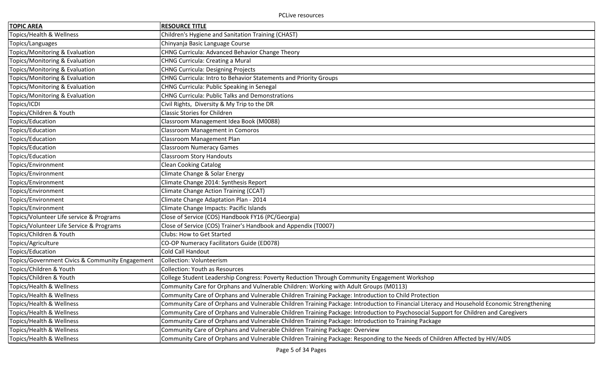| <b>TOPIC AREA</b>                               | <b>RESOURCE TITLE</b>                                                                                                                       |
|-------------------------------------------------|---------------------------------------------------------------------------------------------------------------------------------------------|
| Topics/Health & Wellness                        | Children's Hygiene and Sanitation Training (CHAST)                                                                                          |
| Topics/Languages                                | Chinyanja Basic Language Course                                                                                                             |
| Topics/Monitoring & Evaluation                  | CHNG Curricula: Advanced Behavior Change Theory                                                                                             |
| Topics/Monitoring & Evaluation                  | <b>CHNG Curricula: Creating a Mural</b>                                                                                                     |
| Topics/Monitoring & Evaluation                  | <b>CHNG Curricula: Designing Projects</b>                                                                                                   |
| Topics/Monitoring & Evaluation                  | CHNG Curricula: Intro to Behavior Statements and Priority Groups                                                                            |
| Topics/Monitoring & Evaluation                  | CHNG Curricula: Public Speaking in Senegal                                                                                                  |
| Topics/Monitoring & Evaluation                  | <b>CHNG Curricula: Public Talks and Demonstrations</b>                                                                                      |
| Topics/ICDI                                     | Civil Rights, Diversity & My Trip to the DR                                                                                                 |
| Topics/Children & Youth                         | <b>Classic Stories for Children</b>                                                                                                         |
| Topics/Education                                | Classroom Management Idea Book (M0088)                                                                                                      |
| Topics/Education                                | <b>Classroom Management in Comoros</b>                                                                                                      |
| Topics/Education                                | Classroom Management Plan                                                                                                                   |
| Topics/Education                                | <b>Classroom Numeracy Games</b>                                                                                                             |
| Topics/Education                                | <b>Classroom Story Handouts</b>                                                                                                             |
| Topics/Environment                              | <b>Clean Cooking Catalog</b>                                                                                                                |
| Topics/Environment                              | Climate Change & Solar Energy                                                                                                               |
| Topics/Environment                              | Climate Change 2014: Synthesis Report                                                                                                       |
| Topics/Environment                              | Climate Change Action Training (CCAT)                                                                                                       |
| Topics/Environment                              | Climate Change Adaptation Plan - 2014                                                                                                       |
| Topics/Environment                              | Climate Change Impacts: Pacific Islands                                                                                                     |
| Topics/Volunteer Life service & Programs        | Close of Service (COS) Handbook FY16 (PC/Georgia)                                                                                           |
| Topics/Volunteer Life Service & Programs        | Close of Service (COS) Trainer's Handbook and Appendix (T0007)                                                                              |
| Topics/Children & Youth                         | Clubs: How to Get Started                                                                                                                   |
| Topics/Agriculture                              | CO-OP Numeracy Facilitators Guide (ED078)                                                                                                   |
| Topics/Education                                | Cold Call Handout                                                                                                                           |
| Topics/Government Civics & Community Engagement | <b>Collection: Volunteerism</b>                                                                                                             |
| Topics/Children & Youth                         | <b>Collection: Youth as Resources</b>                                                                                                       |
| Topics/Children & Youth                         | College Student Leadership Congress: Poverty Reduction Through Community Engagement Workshop                                                |
| Topics/Health & Wellness                        | Community Care for Orphans and Vulnerable Children: Working with Adult Groups (M0113)                                                       |
| Topics/Health & Wellness                        | Community Care of Orphans and Vulnerable Children Training Package: Introduction to Child Protection                                        |
| Topics/Health & Wellness                        | Community Care of Orphans and Vulnerable Children Training Package: Introduction to Financial Literacy and Household Economic Strengthening |
| Topics/Health & Wellness                        | Community Care of Orphans and Vulnerable Children Training Package: Introduction to Psychosocial Support for Children and Caregivers        |
| Topics/Health & Wellness                        | Community Care of Orphans and Vulnerable Children Training Package: Introduction to Training Package                                        |
| Topics/Health & Wellness                        | Community Care of Orphans and Vulnerable Children Training Package: Overview                                                                |
| Topics/Health & Wellness                        | Community Care of Orphans and Vulnerable Children Training Package: Responding to the Needs of Children Affected by HIV/AIDS                |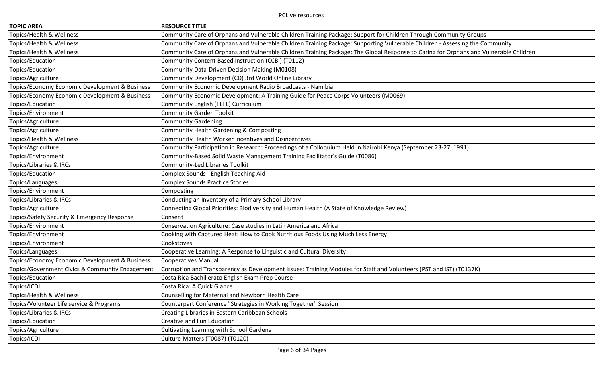| <b>TOPIC AREA</b>                               | <b>RESOURCE TITLE</b>                                                                                                                 |
|-------------------------------------------------|---------------------------------------------------------------------------------------------------------------------------------------|
| Topics/Health & Wellness                        | Community Care of Orphans and Vulnerable Children Training Package: Support for Children Through Community Groups                     |
| Topics/Health & Wellness                        | Community Care of Orphans and Vulnerable Children Training Package: Supporting Vulnerable Children - Assessing the Community          |
| Topics/Health & Wellness                        | Community Care of Orphans and Vulnerable Children Training Package: The Global Response to Caring for Orphans and Vulnerable Children |
| Topics/Education                                | Community Content Based Instruction (CCBI) (T0112)                                                                                    |
| Topics/Education                                | Community Data-Driven Decision Making (M0108)                                                                                         |
| Topics/Agriculture                              | Community Development (CD) 3rd World Online Library                                                                                   |
| Topics/Economy Economic Development & Business  | Community Economic Development Radio Broadcasts - Namibia                                                                             |
| Topics/Economy Economic Development & Business  | Community Economic Development: A Training Guide for Peace Corps Volunteers (M0069)                                                   |
| Topics/Education                                | Community English (TEFL) Curriculum                                                                                                   |
| Topics/Environment                              | <b>Community Garden Toolkit</b>                                                                                                       |
| Topics/Agriculture                              | <b>Community Gardening</b>                                                                                                            |
| Topics/Agriculture                              | Community Health Gardening & Composting                                                                                               |
| Topics/Health & Wellness                        | Community Health Worker Incentives and Disincentives                                                                                  |
| Topics/Agriculture                              | Community Participation in Research: Proceedings of a Colloquium Held in Nairobi Kenya (September 23-27, 1991)                        |
| Topics/Environment                              | Community-Based Solid Waste Management Training Facilitator's Guide (T0086)                                                           |
| Topics/Libraries & IRCs                         | Community-Led Libraries Toolkit                                                                                                       |
| Topics/Education                                | Complex Sounds - English Teaching Aid                                                                                                 |
| Topics/Languages                                | <b>Complex Sounds Practice Stories</b>                                                                                                |
| Topics/Environment                              | Composting                                                                                                                            |
| Topics/Libraries & IRCs                         | Conducting an Inventory of a Primary School Library                                                                                   |
| Topics/Agriculture                              | Connecting Global Priorities: Biodiversity and Human Health (A State of Knowledge Review)                                             |
| Topics/Safety Security & Emergency Response     | Consent                                                                                                                               |
| Topics/Environment                              | Conservation Agriculture: Case studies in Latin America and Africa                                                                    |
| Topics/Environment                              | Cooking with Captured Heat: How to Cook Nutritious Foods Using Much Less Energy                                                       |
| Topics/Environment                              | Cookstoves                                                                                                                            |
| Topics/Languages                                | Cooperative Learning: A Response to Linguistic and Cultural Diversity                                                                 |
| Topics/Economy Economic Development & Business  | <b>Cooperatives Manual</b>                                                                                                            |
| Topics/Government Civics & Community Engagement | Corruption and Transparency as Development Issues: Training Modules for Staff and Volunteers (PST and IST) (T0137K)                   |
| Topics/Education                                | Costa Rica Bachillerato English Exam Prep Course                                                                                      |
| Topics/ICDI                                     | Costa Rica: A Quick Glance                                                                                                            |
| Topics/Health & Wellness                        | Counselling for Maternal and Newborn Health Care                                                                                      |
| Topics/Volunteer Life service & Programs        | Counterpart Conference "Strategies in Working Together" Session                                                                       |
| Topics/Libraries & IRCs                         | Creating Libraries in Eastern Caribbean Schools                                                                                       |
| Topics/Education                                | Creative and Fun Education                                                                                                            |
| Topics/Agriculture                              | <b>Cultivating Learning with School Gardens</b>                                                                                       |
| Topics/ICDI                                     | Culture Matters (T0087) (T0120)                                                                                                       |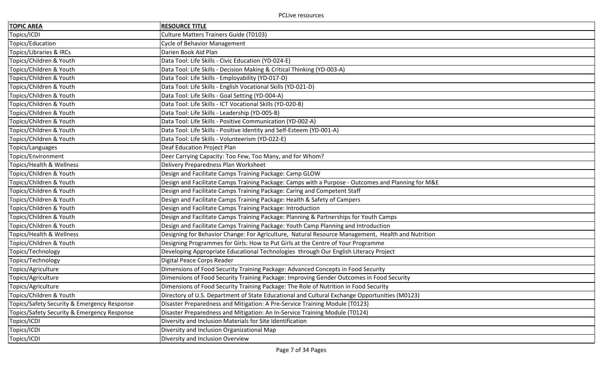| <b>TOPIC AREA</b>                           | <b>RESOURCE TITLE</b>                                                                              |
|---------------------------------------------|----------------------------------------------------------------------------------------------------|
| Topics/ICDI                                 | Culture Matters Trainers Guide (T0103)                                                             |
| Topics/Education                            | <b>Cycle of Behavior Management</b>                                                                |
| Topics/Libraries & IRCs                     | Darien Book Aid Plan                                                                               |
| Topics/Children & Youth                     | Data Tool: Life Skills - Civic Education (YD-024-E)                                                |
| Topics/Children & Youth                     | Data Tool: Life Skills - Decision Making & Critical Thinking (YD-003-A)                            |
| Topics/Children & Youth                     | Data Tool: Life Skills - Employability (YD-017-D)                                                  |
| Topics/Children & Youth                     | Data Tool: Life Skills - English Vocational Skills (YD-021-D)                                      |
| Topics/Children & Youth                     | Data Tool: Life Skills - Goal Setting (YD-004-A)                                                   |
| Topics/Children & Youth                     | Data Tool: Life Skills - ICT Vocational Skills (YD-020-B)                                          |
| Topics/Children & Youth                     | Data Tool: Life Skills - Leadership (YD-005-B)                                                     |
| Topics/Children & Youth                     | Data Tool: Life Skills - Positive Communication (YD-002-A)                                         |
| Topics/Children & Youth                     | Data Tool: Life Skills - Positive Identity and Self-Esteem (YD-001-A)                              |
| Topics/Children & Youth                     | Data Tool: Life Skills - Volunteerism (YD-022-E)                                                   |
| Topics/Languages                            | Deaf Education Project Plan                                                                        |
| Topics/Environment                          | Deer Carrying Capacity: Too Few, Too Many, and for Whom?                                           |
| Topics/Health & Wellness                    | Delivery Preparedness Plan Worksheet                                                               |
| Topics/Children & Youth                     | Design and Facilitate Camps Training Package: Camp GLOW                                            |
| Topics/Children & Youth                     | Design and Facilitate Camps Training Package: Camps with a Purpose - Outcomes and Planning for M&E |
| Topics/Children & Youth                     | Design and Facilitate Camps Training Package: Caring and Competent Staff                           |
| Topics/Children & Youth                     | Design and Facilitate Camps Training Package: Health & Safety of Campers                           |
| Topics/Children & Youth                     | Design and Facilitate Camps Training Package: Introduction                                         |
| Topics/Children & Youth                     | Design and Facilitate Camps Training Package: Planning & Partnerships for Youth Camps              |
| Topics/Children & Youth                     | Design and Facilitate Camps Training Package: Youth Camp Planning and Introduction                 |
| Topics/Health & Wellness                    | Designing for Behavior Change: For Agriculture, Natural Resource Management, Health and Nutrition  |
| Topics/Children & Youth                     | Designing Programmes for Girls: How to Put Girls at the Centre of Your Programme                   |
| Topics/Technology                           | Developing Appropriate Educational Technologies through Our English Literacy Project               |
| Topics/Technology                           | Digital Peace Corps Reader                                                                         |
| Topics/Agriculture                          | Dimensions of Food Security Training Package: Advanced Concepts in Food Security                   |
| Topics/Agriculture                          | Dimensions of Food Security Training Package: Improving Gender Outcomes in Food Security           |
| Topics/Agriculture                          | Dimensions of Food Security Training Package: The Role of Nutrition in Food Security               |
| Topics/Children & Youth                     | Directory of U.S. Department of State Educational and Cultural Exchange Opportunities (M0123)      |
| Topics/Safety Security & Emergency Response | Disaster Preparedness and Mitigation: A Pre-Service Training Module (T0123)                        |
| Topics/Safety Security & Emergency Response | Disaster Preparedness and Mitigation: An In-Service Training Module (T0124)                        |
| Topics/ICDI                                 | Diversity and Inclusion Materials for Site Identification                                          |
| Topics/ICDI                                 | Diversity and Inclusion Organizational Map                                                         |
| Topics/ICDI                                 | Diversity and Inclusion Overview                                                                   |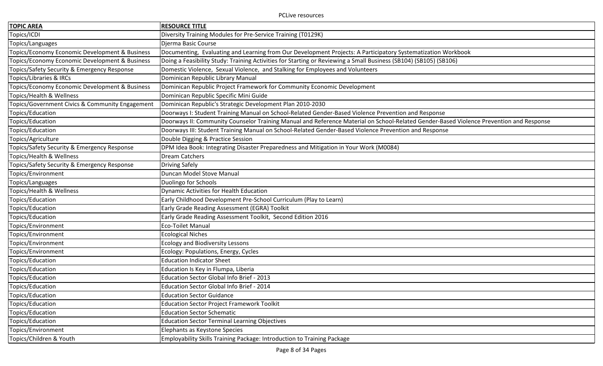| <b>TOPIC AREA</b>                               | <b>RESOURCE TITLE</b>                                                                                                                   |
|-------------------------------------------------|-----------------------------------------------------------------------------------------------------------------------------------------|
| Topics/ICDI                                     | Diversity Training Modules for Pre-Service Training (T0129K)                                                                            |
| Topics/Languages                                | Djerma Basic Course                                                                                                                     |
| Topics/Economy Economic Development & Business  | Documenting, Evaluating and Learning from Our Development Projects: A Participatory Systematization Workbook                            |
| Topics/Economy Economic Development & Business  | Doing a Feasibility Study: Training Activities for Starting or Reviewing a Small Business (SB104) (SB105) (SB106)                       |
| Topics/Safety Security & Emergency Response     | Domestic Violence, Sexual Violence, and Stalking for Employees and Volunteers                                                           |
| Topics/Libraries & IRCs                         | Dominican Republic Library Manual                                                                                                       |
| Topics/Economy Economic Development & Business  | Dominican Republic Project Framework for Community Economic Development                                                                 |
| Topics/Health & Wellness                        | Dominican Republic Specific Mini Guide                                                                                                  |
| Topics/Government Civics & Community Engagement | Dominican Republic's Strategic Development Plan 2010-2030                                                                               |
| Topics/Education                                | Doorways I: Student Training Manual on School-Related Gender-Based Violence Prevention and Response                                     |
| Topics/Education                                | Doorways II: Community Counselor Training Manual and Reference Material on School-Related Gender-Based Violence Prevention and Response |
| Topics/Education                                | Doorways III: Student Training Manual on School-Related Gender-Based Violence Prevention and Response                                   |
| Topics/Agriculture                              | Double Digging & Practice Session                                                                                                       |
| Topics/Safety Security & Emergency Response     | DPM Idea Book: Integrating Disaster Preparedness and Mitigation in Your Work (M0084)                                                    |
| Topics/Health & Wellness                        | Dream Catchers                                                                                                                          |
| Topics/Safety Security & Emergency Response     | <b>Driving Safely</b>                                                                                                                   |
| Topics/Environment                              | Duncan Model Stove Manual                                                                                                               |
| Topics/Languages                                | Duolingo for Schools                                                                                                                    |
| Topics/Health & Wellness                        | Dynamic Activities for Health Education                                                                                                 |
| Topics/Education                                | Early Childhood Development Pre-School Curriculum (Play to Learn)                                                                       |
| Topics/Education                                | Early Grade Reading Assessment (EGRA) Toolkit                                                                                           |
| Topics/Education                                | Early Grade Reading Assessment Toolkit, Second Edition 2016                                                                             |
| Topics/Environment                              | <b>Eco-Toilet Manual</b>                                                                                                                |
| Topics/Environment                              | <b>Ecological Niches</b>                                                                                                                |
| Topics/Environment                              | <b>Ecology and Biodiversity Lessons</b>                                                                                                 |
| Topics/Environment                              | Ecology: Populations, Energy, Cycles                                                                                                    |
| Topics/Education                                | <b>Education Indicator Sheet</b>                                                                                                        |
| Topics/Education                                | Education Is Key in Flumpa, Liberia                                                                                                     |
| Topics/Education                                | Education Sector Global Info Brief - 2013                                                                                               |
| Topics/Education                                | Education Sector Global Info Brief - 2014                                                                                               |
| Topics/Education                                | <b>Education Sector Guidance</b>                                                                                                        |
| Topics/Education                                | <b>Education Sector Project Framework Toolkit</b>                                                                                       |
| Topics/Education                                | <b>Education Sector Schematic</b>                                                                                                       |
| Topics/Education                                | <b>Education Sector Terminal Learning Objectives</b>                                                                                    |
| Topics/Environment                              | Elephants as Keystone Species                                                                                                           |
| Topics/Children & Youth                         | Employability Skills Training Package: Introduction to Training Package                                                                 |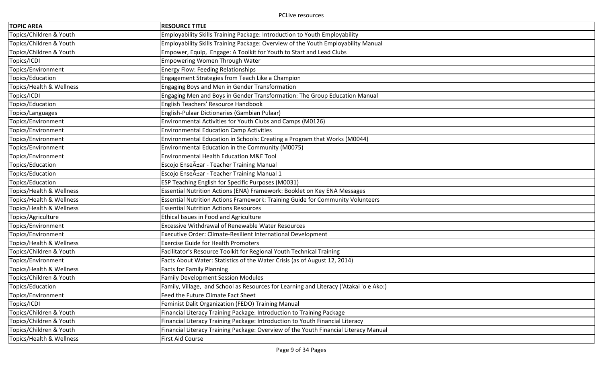| <b>TOPIC AREA</b>        | <b>RESOURCE TITLE</b>                                                                  |
|--------------------------|----------------------------------------------------------------------------------------|
| Topics/Children & Youth  | Employability Skills Training Package: Introduction to Youth Employability             |
| Topics/Children & Youth  | Employability Skills Training Package: Overview of the Youth Employability Manual      |
| Topics/Children & Youth  | Empower, Equip, Engage: A Toolkit for Youth to Start and Lead Clubs                    |
| Topics/ICDI              | Empowering Women Through Water                                                         |
| Topics/Environment       | <b>Energy Flow: Feeding Relationships</b>                                              |
| Topics/Education         | Engagement Strategies from Teach Like a Champion                                       |
| Topics/Health & Wellness | <b>Engaging Boys and Men in Gender Transformation</b>                                  |
| Topics/ICDI              | Engaging Men and Boys in Gender Transformation: The Group Education Manual             |
| Topics/Education         | English Teachers' Resource Handbook                                                    |
| Topics/Languages         | English-Pulaar Dictionaries (Gambian Pulaar)                                           |
| Topics/Environment       | Environmental Activities for Youth Clubs and Camps (M0126)                             |
| Topics/Environment       | <b>Environmental Education Camp Activities</b>                                         |
| Topics/Environment       | Environmental Education in Schools: Creating a Program that Works (M0044)              |
| Topics/Environment       | Environmental Education in the Community (M0075)                                       |
| Topics/Environment       | <b>Environmental Health Education M&amp;E Tool</b>                                     |
| Topics/Education         | Escojo Enseñar - Teacher Training Manual                                               |
| Topics/Education         | Escojo Enseñar - Teacher Training Manual 1                                             |
| Topics/Education         | <b>ESP Teaching English for Specific Purposes (M0031)</b>                              |
| Topics/Health & Wellness | Essential Nutrition Actions (ENA) Framework: Booklet on Key ENA Messages               |
| Topics/Health & Wellness | Essential Nutrition Actions Framework: Training Guide for Community Volunteers         |
| Topics/Health & Wellness | <b>Essential Nutrition Actions Resources</b>                                           |
| Topics/Agriculture       | Ethical Issues in Food and Agriculture                                                 |
| Topics/Environment       | Excessive Withdrawal of Renewable Water Resources                                      |
| Topics/Environment       | Executive Order: Climate-Resilient International Development                           |
| Topics/Health & Wellness | <b>Exercise Guide for Health Promoters</b>                                             |
| Topics/Children & Youth  | Facilitator's Resource Toolkit for Regional Youth Technical Training                   |
| Topics/Environment       | Facts About Water: Statistics of the Water Crisis (as of August 12, 2014)              |
| Topics/Health & Wellness | <b>Facts for Family Planning</b>                                                       |
| Topics/Children & Youth  | <b>Family Development Session Modules</b>                                              |
| Topics/Education         | Family, Village, and School as Resources for Learning and Literacy ('Atakai 'o e Ako:) |
| Topics/Environment       | Feed the Future Climate Fact Sheet                                                     |
| Topics/ICDI              | Feminist Dalit Organization (FEDO) Training Manual                                     |
| Topics/Children & Youth  | Financial Literacy Training Package: Introduction to Training Package                  |
| Topics/Children & Youth  | Financial Literacy Training Package: Introduction to Youth Financial Literacy          |
| Topics/Children & Youth  | Financial Literacy Training Package: Overview of the Youth Financial Literacy Manual   |
| Topics/Health & Wellness | First Aid Course                                                                       |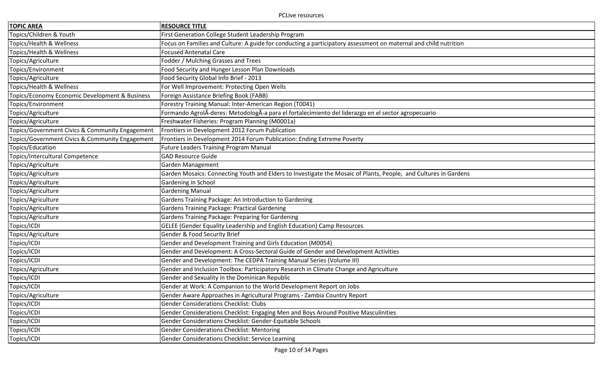| <b>TOPIC AREA</b>                               | <b>RESOURCE TITLE</b>                                                                                            |
|-------------------------------------------------|------------------------------------------------------------------------------------------------------------------|
| Topics/Children & Youth                         | First Generation College Student Leadership Program                                                              |
| Topics/Health & Wellness                        | Focus on Families and Culture: A guide for conducting a participatory assessment on maternal and child nutrition |
| Topics/Health & Wellness                        | <b>Focused Antenatal Care</b>                                                                                    |
| Topics/Agriculture                              | Fodder / Mulching Grasses and Trees                                                                              |
| Topics/Environment                              | Food Security and Hunger Lesson Plan Downloads                                                                   |
| Topics/Agriculture                              | Food Security Global Info Brief - 2013                                                                           |
| Topics/Health & Wellness                        | For Well Improvement: Protecting Open Wells                                                                      |
| Topics/Economy Economic Development & Business  | Foreign Assistance Briefing Book (FABB)                                                                          |
| Topics/Environment                              | Forestry Training Manual: Inter-American Region (T0041)                                                          |
| Topics/Agriculture                              | Formando AgrolA-deres: MetodologA-a para el fortalecimiento del liderazgo en el sector agropecuario              |
| Topics/Agriculture                              | Freshwater Fisheries: Program Planning (M0001a)                                                                  |
| Topics/Government Civics & Community Engagement | Frontiers in Development 2012 Forum Publication                                                                  |
| Topics/Government Civics & Community Engagement | Frontiers in Development 2014 Forum Publication: Ending Extreme Poverty                                          |
| Topics/Education                                | <b>Future Leaders Training Program Manual</b>                                                                    |
| Topics/Intercultural Competence                 | <b>GAD Resource Guide</b>                                                                                        |
| Topics/Agriculture                              | Garden Management                                                                                                |
| Topics/Agriculture                              | Garden Mosaics: Connecting Youth and Elders to Investigate the Mosaic of Plants, People, and Cultures in Gardens |
| Topics/Agriculture                              | Gardening in School                                                                                              |
| Topics/Agriculture                              | <b>Gardening Manual</b>                                                                                          |
| Topics/Agriculture                              | Gardens Training Package: An Introduction to Gardening                                                           |
| Topics/Agriculture                              | <b>Gardens Training Package: Practical Gardening</b>                                                             |
| Topics/Agriculture                              | Gardens Training Package: Preparing for Gardening                                                                |
| Topics/ICDI                                     | GELEE (Gender Equality Leadership and English Education) Camp Resources                                          |
| Topics/Agriculture                              | Gender & Food Security Brief                                                                                     |
| Topics/ICDI                                     | Gender and Development Training and Girls Education (M0054)                                                      |
| Topics/ICDI                                     | Gender and Development: A Cross-Sectoral Guide of Gender and Development Activities                              |
| Topics/ICDI                                     | Gender and Development: The CEDPA Training Manual Series (Volume III)                                            |
| Topics/Agriculture                              | Gender and Inclusion Toolbox: Participatory Research in Climate Change and Agriculture                           |
| Topics/ICDI                                     | Gender and Sexuality in the Dominican Republic                                                                   |
| Topics/ICDI                                     | Gender at Work: A Companion to the World Development Report on Jobs                                              |
| Topics/Agriculture                              | Gender Aware Approaches in Agricultural Programs - Zambia Country Report                                         |
| Topics/ICDI                                     | <b>Gender Considerations Checklist: Clubs</b>                                                                    |
| Topics/ICDI                                     | Gender Considerations Checklist: Engaging Men and Boys Around Positive Masculinities                             |
| Topics/ICDI                                     | Gender Considerations Checklist: Gender-Equitable Schools                                                        |
| Topics/ICDI                                     | <b>Gender Considerations Checklist: Mentoring</b>                                                                |
| Topics/ICDI                                     | Gender Considerations Checklist: Service Learning                                                                |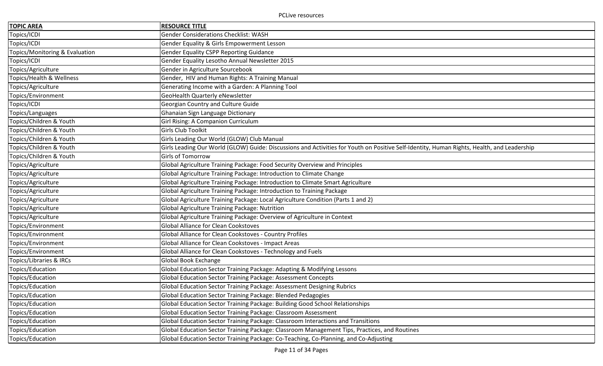| <b>TOPIC AREA</b>              | <b>RESOURCE TITLE</b>                                                                                                                      |
|--------------------------------|--------------------------------------------------------------------------------------------------------------------------------------------|
| Topics/ICDI                    | <b>Gender Considerations Checklist: WASH</b>                                                                                               |
| Topics/ICDI                    | Gender Equality & Girls Empowerment Lesson                                                                                                 |
| Topics/Monitoring & Evaluation | <b>Gender Equality CSPP Reporting Guidance</b>                                                                                             |
| Topics/ICDI                    | Gender Equality Lesotho Annual Newsletter 2015                                                                                             |
| Topics/Agriculture             | Gender in Agriculture Sourcebook                                                                                                           |
| Topics/Health & Wellness       | Gender, HIV and Human Rights: A Training Manual                                                                                            |
| Topics/Agriculture             | Generating Income with a Garden: A Planning Tool                                                                                           |
| Topics/Environment             | GeoHealth Quarterly eNewsletter                                                                                                            |
| Topics/ICDI                    | Georgian Country and Culture Guide                                                                                                         |
| Topics/Languages               | Ghanaian Sign Language Dictionary                                                                                                          |
| Topics/Children & Youth        | Girl Rising: A Companion Curriculum                                                                                                        |
| Topics/Children & Youth        | Girls Club Toolkit                                                                                                                         |
| Topics/Children & Youth        | Girls Leading Our World (GLOW) Club Manual                                                                                                 |
| Topics/Children & Youth        | Girls Leading Our World (GLOW) Guide: Discussions and Activities for Youth on Positive Self-Identity, Human Rights, Health, and Leadership |
| Topics/Children & Youth        | <b>Girls of Tomorrow</b>                                                                                                                   |
| Topics/Agriculture             | Global Agriculture Training Package: Food Security Overview and Principles                                                                 |
| Topics/Agriculture             | Global Agriculture Training Package: Introduction to Climate Change                                                                        |
| Topics/Agriculture             | Global Agriculture Training Package: Introduction to Climate Smart Agriculture                                                             |
| Topics/Agriculture             | Global Agriculture Training Package: Introduction to Training Package                                                                      |
| Topics/Agriculture             | Global Agriculture Training Package: Local Agriculture Condition (Parts 1 and 2)                                                           |
| Topics/Agriculture             | Global Agriculture Training Package: Nutrition                                                                                             |
| Topics/Agriculture             | Global Agriculture Training Package: Overview of Agriculture in Context                                                                    |
| Topics/Environment             | <b>Global Alliance for Clean Cookstoves</b>                                                                                                |
| Topics/Environment             | Global Alliance for Clean Cookstoves - Country Profiles                                                                                    |
| Topics/Environment             | Global Alliance for Clean Cookstoves - Impact Areas                                                                                        |
| Topics/Environment             | Global Alliance for Clean Cookstoves - Technology and Fuels                                                                                |
| Topics/Libraries & IRCs        | Global Book Exchange                                                                                                                       |
| Topics/Education               | Global Education Sector Training Package: Adapting & Modifying Lessons                                                                     |
| Topics/Education               | Global Education Sector Training Package: Assessment Concepts                                                                              |
| Topics/Education               | Global Education Sector Training Package: Assessment Designing Rubrics                                                                     |
| Topics/Education               | Global Education Sector Training Package: Blended Pedagogies                                                                               |
| Topics/Education               | Global Education Sector Training Package: Building Good School Relationships                                                               |
| Topics/Education               | Global Education Sector Training Package: Classroom Assessment                                                                             |
| Topics/Education               | Global Education Sector Training Package: Classroom Interactions and Transitions                                                           |
| Topics/Education               | Global Education Sector Training Package: Classroom Management Tips, Practices, and Routines                                               |
| Topics/Education               | Global Education Sector Training Package: Co-Teaching, Co-Planning, and Co-Adjusting                                                       |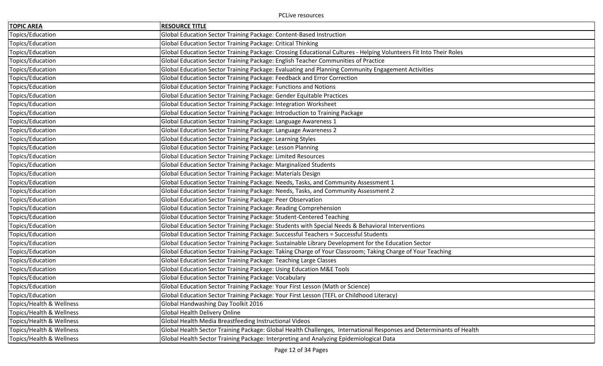| <b>TOPIC AREA</b>        | <b>RESOURCE TITLE</b>                                                                                               |
|--------------------------|---------------------------------------------------------------------------------------------------------------------|
| Topics/Education         | Global Education Sector Training Package: Content-Based Instruction                                                 |
| Topics/Education         | Global Education Sector Training Package: Critical Thinking                                                         |
| Topics/Education         | Global Education Sector Training Package: Crossing Educational Cultures - Helping Volunteers Fit Into Their Roles   |
| Topics/Education         | Global Education Sector Training Package: English Teacher Communities of Practice                                   |
| Topics/Education         | Global Education Sector Training Package: Evaluating and Planning Community Engagement Activities                   |
| Topics/Education         | Global Education Sector Training Package: Feedback and Error Correction                                             |
| Topics/Education         | Global Education Sector Training Package: Functions and Notions                                                     |
| Topics/Education         | Global Education Sector Training Package: Gender Equitable Practices                                                |
| Topics/Education         | Global Education Sector Training Package: Integration Worksheet                                                     |
| Topics/Education         | Global Education Sector Training Package: Introduction to Training Package                                          |
| Topics/Education         | Global Education Sector Training Package: Language Awareness 1                                                      |
| Topics/Education         | Global Education Sector Training Package: Language Awareness 2                                                      |
| Topics/Education         | Global Education Sector Training Package: Learning Styles                                                           |
| Topics/Education         | Global Education Sector Training Package: Lesson Planning                                                           |
| Topics/Education         | Global Education Sector Training Package: Limited Resources                                                         |
| Topics/Education         | Global Education Sector Training Package: Marginalized Students                                                     |
| Topics/Education         | Global Education Sector Training Package: Materials Design                                                          |
| Topics/Education         | Global Education Sector Training Package: Needs, Tasks, and Community Assessment 1                                  |
| Topics/Education         | Global Education Sector Training Package: Needs, Tasks, and Community Assessment 2                                  |
| Topics/Education         | Global Education Sector Training Package: Peer Observation                                                          |
| Topics/Education         | Global Education Sector Training Package: Reading Comprehension                                                     |
| Topics/Education         | Global Education Sector Training Package: Student-Centered Teaching                                                 |
| Topics/Education         | Global Education Sector Training Package: Students with Special Needs & Behavioral Interventions                    |
| Topics/Education         | Global Education Sector Training Package: Successful Teachers = Successful Students                                 |
| Topics/Education         | Global Education Sector Training Package: Sustainable Library Development for the Education Sector                  |
| Topics/Education         | Global Education Sector Training Package: Taking Charge of Your Classroom; Taking Charge of Your Teaching           |
| Topics/Education         | Global Education Sector Training Package: Teaching Large Classes                                                    |
| Topics/Education         | Global Education Sector Training Package: Using Education M&E Tools                                                 |
| Topics/Education         | Global Education Sector Training Package: Vocabulary                                                                |
| Topics/Education         | Global Education Sector Training Package: Your First Lesson (Math or Science)                                       |
| Topics/Education         | Global Education Sector Training Package: Your First Lesson (TEFL or Childhood Literacy)                            |
| Topics/Health & Wellness | Global Handwashing Day Toolkit 2016                                                                                 |
| Topics/Health & Wellness | Global Health Delivery Online                                                                                       |
| Topics/Health & Wellness | Global Health Media Breastfeeding Instructional Videos                                                              |
| Topics/Health & Wellness | Global Health Sector Training Package: Global Health Challenges, International Responses and Determinants of Health |
| Topics/Health & Wellness | Global Health Sector Training Package: Interpreting and Analyzing Epidemiological Data                              |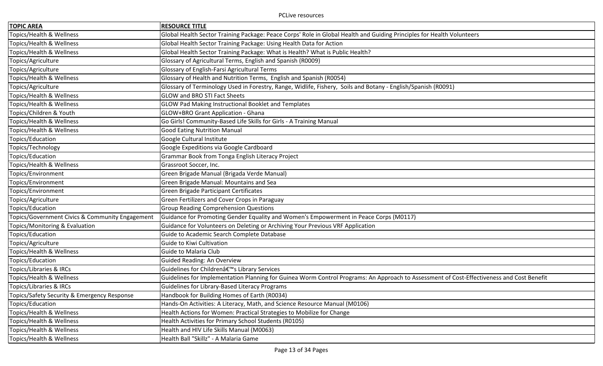| <b>TOPIC AREA</b>                               | <b>RESOURCE TITLE</b>                                                                                                                     |
|-------------------------------------------------|-------------------------------------------------------------------------------------------------------------------------------------------|
| Topics/Health & Wellness                        | Global Health Sector Training Package: Peace Corps' Role in Global Health and Guiding Principles for Health Volunteers                    |
| Topics/Health & Wellness                        | Global Health Sector Training Package: Using Health Data for Action                                                                       |
| Topics/Health & Wellness                        | Global Health Sector Training Package: What is Health? What is Public Health?                                                             |
| Topics/Agriculture                              | Glossary of Agricultural Terms, English and Spanish (R0009)                                                                               |
| Topics/Agriculture                              | Glossary of English-Farsi Agricultural Terms                                                                                              |
| Topics/Health & Wellness                        | Glossary of Health and Nutrition Terms, English and Spanish (R0054)                                                                       |
| Topics/Agriculture                              | Glossary of Terminology Used in Forestry, Range, Widlife, Fishery, Soils and Botany - English/Spanish (R0091)                             |
| Topics/Health & Wellness                        | <b>GLOW and BRO STI Fact Sheets</b>                                                                                                       |
| Topics/Health & Wellness                        | GLOW Pad Making Instructional Booklet and Templates                                                                                       |
| Topics/Children & Youth                         | GLOW+BRO Grant Application - Ghana                                                                                                        |
| Topics/Health & Wellness                        | Go Girls! Community-Based Life Skills for Girls - A Training Manual                                                                       |
| Topics/Health & Wellness                        | <b>Good Eating Nutrition Manual</b>                                                                                                       |
| Topics/Education                                | Google Cultural Institute                                                                                                                 |
| Topics/Technology                               | Google Expeditions via Google Cardboard                                                                                                   |
| Topics/Education                                | Grammar Book from Tonga English Literacy Project                                                                                          |
| Topics/Health & Wellness                        | Grassroot Soccer, Inc.                                                                                                                    |
| Topics/Environment                              | Green Brigade Manual (Brigada Verde Manual)                                                                                               |
| Topics/Environment                              | Green Brigade Manual: Mountains and Sea                                                                                                   |
| Topics/Environment                              | Green Brigade Participant Certificates                                                                                                    |
| Topics/Agriculture                              | Green Fertilizers and Cover Crops in Paraguay                                                                                             |
| Topics/Education                                | <b>Group Reading Comprehension Questions</b>                                                                                              |
| Topics/Government Civics & Community Engagement | Guidance for Promoting Gender Equality and Women's Empowerment in Peace Corps (M0117)                                                     |
| Topics/Monitoring & Evaluation                  | Guidance for Volunteers on Deleting or Archiving Your Previous VRF Application                                                            |
| Topics/Education                                | Guide to Academic Search Complete Database                                                                                                |
| Topics/Agriculture                              | Guide to Kiwi Cultivation                                                                                                                 |
| Topics/Health & Wellness                        | Guide to Malaria Club                                                                                                                     |
| Topics/Education                                | Guided Reading: An Overview                                                                                                               |
| Topics/Libraries & IRCs                         | Guidelines for Children's Library Services                                                                                                |
| Topics/Health & Wellness                        | Guidelines for Implementation Planning for Guinea Worm Control Programs: An Approach to Assessment of Cost-Effectiveness and Cost Benefit |
| Topics/Libraries & IRCs                         | Guidelines for Library-Based Literacy Programs                                                                                            |
| Topics/Safety Security & Emergency Response     | Handbook for Building Homes of Earth (R0034)                                                                                              |
| Topics/Education                                | Hands-On Activities: A Literacy, Math, and Science Resource Manual (M0106)                                                                |
| Topics/Health & Wellness                        | Health Actions for Women: Practical Strategies to Mobilize for Change                                                                     |
| Topics/Health & Wellness                        | Health Activities for Primary School Students (R0105)                                                                                     |
| Topics/Health & Wellness                        | Health and HIV Life Skills Manual (M0063)                                                                                                 |
| Topics/Health & Wellness                        | Health Ball "Skillz" - A Malaria Game                                                                                                     |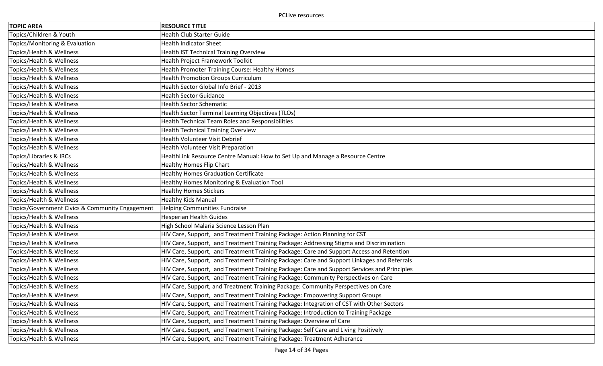| <b>TOPIC AREA</b>                               | <b>RESOURCE TITLE</b>                                                                       |
|-------------------------------------------------|---------------------------------------------------------------------------------------------|
| Topics/Children & Youth                         | <b>Health Club Starter Guide</b>                                                            |
| Topics/Monitoring & Evaluation                  | <b>Health Indicator Sheet</b>                                                               |
| Topics/Health & Wellness                        | <b>Health IST Technical Training Overview</b>                                               |
| Topics/Health & Wellness                        | Health Project Framework Toolkit                                                            |
| Topics/Health & Wellness                        | Health Promoter Training Course: Healthy Homes                                              |
| Topics/Health & Wellness                        | <b>Health Promotion Groups Curriculum</b>                                                   |
| Topics/Health & Wellness                        | Health Sector Global Info Brief - 2013                                                      |
| Topics/Health & Wellness                        | <b>Health Sector Guidance</b>                                                               |
| Topics/Health & Wellness                        | <b>Health Sector Schematic</b>                                                              |
| Topics/Health & Wellness                        | Health Sector Terminal Learning Objectives (TLOs)                                           |
| Topics/Health & Wellness                        | Health Technical Team Roles and Responsibilities                                            |
| Topics/Health & Wellness                        | <b>Health Technical Training Overview</b>                                                   |
| Topics/Health & Wellness                        | Health Volunteer Visit Debrief                                                              |
| Topics/Health & Wellness                        | Health Volunteer Visit Preparation                                                          |
| Topics/Libraries & IRCs                         | HealthLink Resource Centre Manual: How to Set Up and Manage a Resource Centre               |
| Topics/Health & Wellness                        | Healthy Homes Flip Chart                                                                    |
| Topics/Health & Wellness                        | <b>Healthy Homes Graduation Certificate</b>                                                 |
| Topics/Health & Wellness                        | Healthy Homes Monitoring & Evaluation Tool                                                  |
| Topics/Health & Wellness                        | <b>Healthy Homes Stickers</b>                                                               |
| Topics/Health & Wellness                        | Healthy Kids Manual                                                                         |
| Topics/Government Civics & Community Engagement | <b>Helping Communities Fundraise</b>                                                        |
| Topics/Health & Wellness                        | <b>Hesperian Health Guides</b>                                                              |
| Topics/Health & Wellness                        | High School Malaria Science Lesson Plan                                                     |
| Topics/Health & Wellness                        | HIV Care, Support, and Treatment Training Package: Action Planning for CST                  |
| Topics/Health & Wellness                        | HIV Care, Support, and Treatment Training Package: Addressing Stigma and Discrimination     |
| Topics/Health & Wellness                        | HIV Care, Support, and Treatment Training Package: Care and Support Access and Retention    |
| Topics/Health & Wellness                        | HIV Care, Support, and Treatment Training Package: Care and Support Linkages and Referrals  |
| Topics/Health & Wellness                        | HIV Care, Support, and Treatment Training Package: Care and Support Services and Principles |
| Topics/Health & Wellness                        | HIV Care, Support, and Treatment Training Package: Community Perspectives on Care           |
| Topics/Health & Wellness                        | HIV Care, Support, and Treatment Training Package: Community Perspectives on Care           |
| Topics/Health & Wellness                        | HIV Care, Support, and Treatment Training Package: Empowering Support Groups                |
| Topics/Health & Wellness                        | HIV Care, Support, and Treatment Training Package: Integration of CST with Other Sectors    |
| Topics/Health & Wellness                        | HIV Care, Support, and Treatment Training Package: Introduction to Training Package         |
| Topics/Health & Wellness                        | HIV Care, Support, and Treatment Training Package: Overview of Care                         |
| Topics/Health & Wellness                        | HIV Care, Support, and Treatment Training Package: Self Care and Living Positively          |
| Topics/Health & Wellness                        | HIV Care, Support, and Treatment Training Package: Treatment Adherance                      |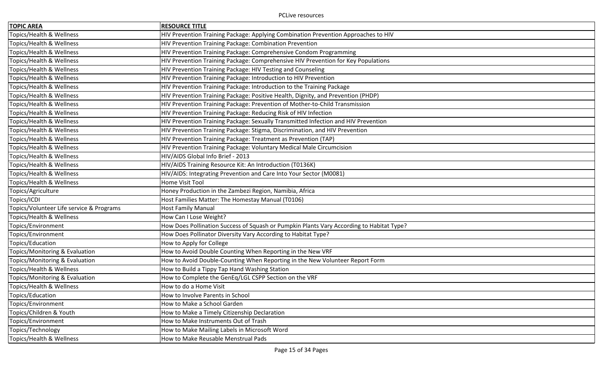| <b>TOPIC AREA</b>                        | <b>RESOURCE TITLE</b>                                                                    |
|------------------------------------------|------------------------------------------------------------------------------------------|
| Topics/Health & Wellness                 | HIV Prevention Training Package: Applying Combination Prevention Approaches to HIV       |
| Topics/Health & Wellness                 | HIV Prevention Training Package: Combination Prevention                                  |
| Topics/Health & Wellness                 | HIV Prevention Training Package: Comprehensive Condom Programming                        |
| Topics/Health & Wellness                 | HIV Prevention Training Package: Comprehensive HIV Prevention for Key Populations        |
| Topics/Health & Wellness                 | HIV Prevention Training Package: HIV Testing and Counseling                              |
| Topics/Health & Wellness                 | HIV Prevention Training Package: Introduction to HIV Prevention                          |
| Topics/Health & Wellness                 | HIV Prevention Training Package: Introduction to the Training Package                    |
| Topics/Health & Wellness                 | HIV Prevention Training Package: Positive Health, Dignity, and Prevention (PHDP)         |
| Topics/Health & Wellness                 | HIV Prevention Training Package: Prevention of Mother-to-Child Transmission              |
| Topics/Health & Wellness                 | HIV Prevention Training Package: Reducing Risk of HIV Infection                          |
| Topics/Health & Wellness                 | HIV Prevention Training Package: Sexually Transmitted Infection and HIV Prevention       |
| Topics/Health & Wellness                 | HIV Prevention Training Package: Stigma, Discrimination, and HIV Prevention              |
| Topics/Health & Wellness                 | HIV Prevention Training Package: Treatment as Prevention (TAP)                           |
| Topics/Health & Wellness                 | HIV Prevention Training Package: Voluntary Medical Male Circumcision                     |
| Topics/Health & Wellness                 | HIV/AIDS Global Info Brief - 2013                                                        |
| Topics/Health & Wellness                 | HIV/AIDS Training Resource Kit: An Introduction (T0136K)                                 |
| Topics/Health & Wellness                 | HIV/AIDS: Integrating Prevention and Care Into Your Sector (M0081)                       |
| Topics/Health & Wellness                 | Home Visit Tool                                                                          |
| Topics/Agriculture                       | Honey Production in the Zambezi Region, Namibia, Africa                                  |
| Topics/ICDI                              | Host Families Matter: The Homestay Manual (T0106)                                        |
| Topics/Volunteer Life service & Programs | <b>Host Family Manual</b>                                                                |
| Topics/Health & Wellness                 | How Can I Lose Weight?                                                                   |
| Topics/Environment                       | How Does Pollination Success of Squash or Pumpkin Plants Vary According to Habitat Type? |
| Topics/Environment                       | How Does Pollinator Diversity Vary According to Habitat Type?                            |
| Topics/Education                         | How to Apply for College                                                                 |
| Topics/Monitoring & Evaluation           | How to Avoid Double Counting When Reporting in the New VRF                               |
| Topics/Monitoring & Evaluation           | How to Avoid Double-Counting When Reporting in the New Volunteer Report Form             |
| Topics/Health & Wellness                 | How to Build a Tippy Tap Hand Washing Station                                            |
| Topics/Monitoring & Evaluation           | How to Complete the GenEq/LGL CSPP Section on the VRF                                    |
| Topics/Health & Wellness                 | How to do a Home Visit                                                                   |
| Topics/Education                         | How to Involve Parents in School                                                         |
| Topics/Environment                       | How to Make a School Garden                                                              |
| Topics/Children & Youth                  | How to Make a Timely Citizenship Declaration                                             |
| Topics/Environment                       | How to Make Instruments Out of Trash                                                     |
| Topics/Technology                        | How to Make Mailing Labels in Microsoft Word                                             |
| Topics/Health & Wellness                 | How to Make Reusable Menstrual Pads                                                      |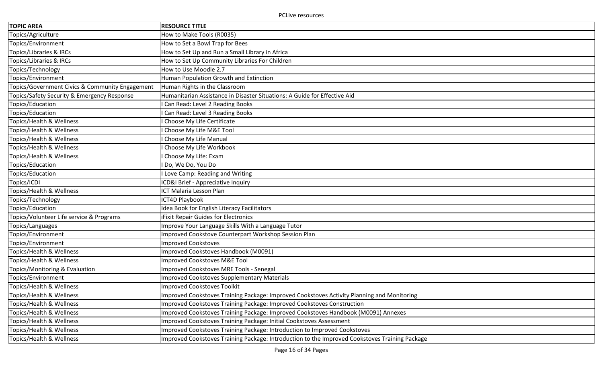| <b>TOPIC AREA</b>                               | <b>RESOURCE TITLE</b>                                                                          |
|-------------------------------------------------|------------------------------------------------------------------------------------------------|
| Topics/Agriculture                              | How to Make Tools (R0035)                                                                      |
| Topics/Environment                              | How to Set a Bowl Trap for Bees                                                                |
| Topics/Libraries & IRCs                         | How to Set Up and Run a Small Library in Africa                                                |
| Topics/Libraries & IRCs                         | How to Set Up Community Libraries For Children                                                 |
| Topics/Technology                               | How to Use Moodle 2.7                                                                          |
| Topics/Environment                              | Human Population Growth and Extinction                                                         |
| Topics/Government Civics & Community Engagement | Human Rights in the Classroom                                                                  |
| Topics/Safety Security & Emergency Response     | Humanitarian Assistance in Disaster Situations: A Guide for Effective Aid                      |
| Topics/Education                                | Can Read: Level 2 Reading Books                                                                |
| Topics/Education                                | Can Read: Level 3 Reading Books                                                                |
| Topics/Health & Wellness                        | Choose My Life Certificate                                                                     |
| Topics/Health & Wellness                        | Choose My Life M&E Tool                                                                        |
| Topics/Health & Wellness                        | Choose My Life Manual                                                                          |
| Topics/Health & Wellness                        | Choose My Life Workbook                                                                        |
| Topics/Health & Wellness                        | Choose My Life: Exam                                                                           |
| Topics/Education                                | Do, We Do, You Do                                                                              |
| Topics/Education                                | Love Camp: Reading and Writing                                                                 |
| Topics/ICDI                                     | ICD&I Brief - Appreciative Inquiry                                                             |
| Topics/Health & Wellness                        | ICT Malaria Lesson Plan                                                                        |
| Topics/Technology                               | ICT4D Playbook                                                                                 |
| Topics/Education                                | Idea Book for English Literacy Facilitators                                                    |
| Topics/Volunteer Life service & Programs        | <b>iFixit Repair Guides for Electronics</b>                                                    |
| Topics/Languages                                | Improve Your Language Skills With a Language Tutor                                             |
| Topics/Environment                              | Improved Cookstove Counterpart Workshop Session Plan                                           |
| Topics/Environment                              | <b>Improved Cookstoves</b>                                                                     |
| Topics/Health & Wellness                        | Improved Cookstoves Handbook (M0091)                                                           |
| Topics/Health & Wellness                        | Improved Cookstoves M&E Tool                                                                   |
| Topics/Monitoring & Evaluation                  | Improved Cookstoves MRE Tools - Senegal                                                        |
| Topics/Environment                              | Improved Cookstoves Supplementary Materials                                                    |
| Topics/Health & Wellness                        | Improved Cookstoves Toolkit                                                                    |
| Topics/Health & Wellness                        | Improved Cookstoves Training Package: Improved Cookstoves Activity Planning and Monitoring     |
| Topics/Health & Wellness                        | Improved Cookstoves Training Package: Improved Cookstoves Construction                         |
| Topics/Health & Wellness                        | Improved Cookstoves Training Package: Improved Cookstoves Handbook (M0091) Annexes             |
| Topics/Health & Wellness                        | Improved Cookstoves Training Package: Initial Cookstoves Assessment                            |
| Topics/Health & Wellness                        | Improved Cookstoves Training Package: Introduction to Improved Cookstoves                      |
| Topics/Health & Wellness                        | Improved Cookstoves Training Package: Introduction to the Improved Cookstoves Training Package |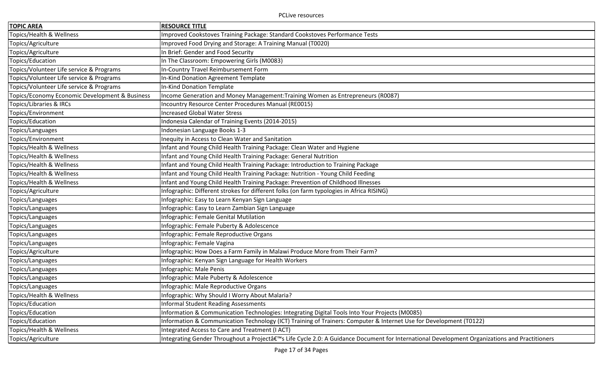| <b>TOPIC AREA</b>                              | <b>RESOURCE TITLE</b>                                                                                                                       |
|------------------------------------------------|---------------------------------------------------------------------------------------------------------------------------------------------|
| Topics/Health & Wellness                       | Improved Cookstoves Training Package: Standard Cookstoves Performance Tests                                                                 |
| Topics/Agriculture                             | Improved Food Drying and Storage: A Training Manual (T0020)                                                                                 |
| Topics/Agriculture                             | In Brief: Gender and Food Security                                                                                                          |
| Topics/Education                               | In The Classroom: Empowering Girls (M0083)                                                                                                  |
| Topics/Volunteer Life service & Programs       | In-Country Travel Reimbursement Form                                                                                                        |
| Topics/Volunteer Life service & Programs       | In-Kind Donation Agreement Template                                                                                                         |
| Topics/Volunteer Life service & Programs       | In-Kind Donation Template                                                                                                                   |
| Topics/Economy Economic Development & Business | Income Generation and Money Management: Training Women as Entrepreneurs (R0087)                                                             |
| Topics/Libraries & IRCs                        | Incountry Resource Center Procedures Manual (RE0015)                                                                                        |
| Topics/Environment                             | <b>Increased Global Water Stress</b>                                                                                                        |
| Topics/Education                               | Indonesia Calendar of Training Events (2014-2015)                                                                                           |
| Topics/Languages                               | Indonesian Language Books 1-3                                                                                                               |
| Topics/Environment                             | Inequity in Access to Clean Water and Sanitation                                                                                            |
| Topics/Health & Wellness                       | Infant and Young Child Health Training Package: Clean Water and Hygiene                                                                     |
| Topics/Health & Wellness                       | Infant and Young Child Health Training Package: General Nutrition                                                                           |
| Topics/Health & Wellness                       | Infant and Young Child Health Training Package: Introduction to Training Package                                                            |
| Topics/Health & Wellness                       | Infant and Young Child Health Training Package: Nutrition - Young Child Feeding                                                             |
| Topics/Health & Wellness                       | Infant and Young Child Health Training Package: Prevention of Childhood Illnesses                                                           |
| Topics/Agriculture                             | Infographic: Different strokes for different folks (on farm typologies in Africa RISING)                                                    |
| Topics/Languages                               | Infographic: Easy to Learn Kenyan Sign Language                                                                                             |
| Topics/Languages                               | Infographic: Easy to Learn Zambian Sign Language                                                                                            |
| Topics/Languages                               | Infographic: Female Genital Mutilation                                                                                                      |
| Topics/Languages                               | Infographic: Female Puberty & Adolescence                                                                                                   |
| Topics/Languages                               | Infographic: Female Reproductive Organs                                                                                                     |
| Topics/Languages                               | Infographic: Female Vagina                                                                                                                  |
| Topics/Agriculture                             | Infographic: How Does a Farm Family in Malawi Produce More from Their Farm?                                                                 |
| Topics/Languages                               | Infographic: Kenyan Sign Language for Health Workers                                                                                        |
| Topics/Languages                               | Infographic: Male Penis                                                                                                                     |
| Topics/Languages                               | Infographic: Male Puberty & Adolescence                                                                                                     |
| Topics/Languages                               | Infographic: Male Reproductive Organs                                                                                                       |
| Topics/Health & Wellness                       | Infographic: Why Should I Worry About Malaria?                                                                                              |
| Topics/Education                               | <b>Informal Student Reading Assessments</b>                                                                                                 |
| Topics/Education                               | Information & Communication Technologies: Integrating Digital Tools Into Your Projects (M0085)                                              |
| Topics/Education                               | Information & Communication Technology (ICT) Training of Trainers: Computer & Internet Use for Development (T0122)                          |
| Topics/Health & Wellness                       | Integrated Access to Care and Treatment (I ACT)                                                                                             |
| Topics/Agriculture                             | Integrating Gender Throughout a Project's Life Cycle 2.0: A Guidance Document for International Development Organizations and Practitioners |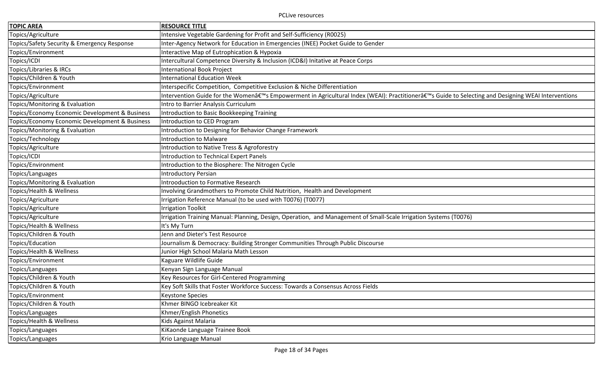| <b>TOPIC AREA</b>                              | <b>RESOURCE TITLE</b>                                                                                                                           |
|------------------------------------------------|-------------------------------------------------------------------------------------------------------------------------------------------------|
| Topics/Agriculture                             | Intensive Vegetable Gardening for Profit and Self-Sufficiency (R0025)                                                                           |
| Topics/Safety Security & Emergency Response    | Inter-Agency Network for Education in Emergencies (INEE) Pocket Guide to Gender                                                                 |
| Topics/Environment                             | Interactive Map of Eutrophication & Hypoxia                                                                                                     |
| Topics/ICDI                                    | Intercultural Competence Diversity & Inclusion (ICD&I) Initative at Peace Corps                                                                 |
| Topics/Libraries & IRCs                        | International Book Project                                                                                                                      |
| Topics/Children & Youth                        | <b>International Education Week</b>                                                                                                             |
| Topics/Environment                             | Interspecific Competition, Competitive Exclusion & Niche Differentiation                                                                        |
| Topics/Agriculture                             | Intervention Guide for the Women's Empowerment in Agricultural Index (WEAI): Practitioner's Guide to Selecting and Designing WEAI Interventions |
| Topics/Monitoring & Evaluation                 | Intro to Barrier Analysis Curriculum                                                                                                            |
| Topics/Economy Economic Development & Business | Introduction to Basic Bookkeeping Training                                                                                                      |
| Topics/Economy Economic Development & Business | Introduction to CED Program                                                                                                                     |
| Topics/Monitoring & Evaluation                 | Introduction to Designing for Behavior Change Framework                                                                                         |
| Topics/Technology                              | <b>Introduction to Malware</b>                                                                                                                  |
| Topics/Agriculture                             | Introduction to Native Tress & Agroforestry                                                                                                     |
| Topics/ICDI                                    | <b>Introduction to Technical Expert Panels</b>                                                                                                  |
| Topics/Environment                             | Introduction to the Biosphere: The Nitrogen Cycle                                                                                               |
| Topics/Languages                               | <b>Introductory Persian</b>                                                                                                                     |
| Topics/Monitoring & Evaluation                 | <b>Introoduction to Formative Research</b>                                                                                                      |
| Topics/Health & Wellness                       | Involving Grandmothers to Promote Child Nutrition, Health and Development                                                                       |
| Topics/Agriculture                             | Irrigation Reference Manual (to be used with T0076) (T0077)                                                                                     |
| Topics/Agriculture                             | <b>Irrigation Toolkit</b>                                                                                                                       |
| Topics/Agriculture                             | Irrigation Training Manual: Planning, Design, Operation, and Management of Small-Scale Irrigation Systems (T0076)                               |
| Topics/Health & Wellness                       | It's My Turn                                                                                                                                    |
| Topics/Children & Youth                        | Jenn and Dieter's Test Resource                                                                                                                 |
| Topics/Education                               | Journalism & Democracy: Building Stronger Communities Through Public Discourse                                                                  |
| Topics/Health & Wellness                       | Junior High School Malaria Math Lesson                                                                                                          |
| Topics/Environment                             | Kaguare Wildlife Guide                                                                                                                          |
| Topics/Languages                               | Kenyan Sign Language Manual                                                                                                                     |
| Topics/Children & Youth                        | Key Resources for Girl-Centered Programming                                                                                                     |
| Topics/Children & Youth                        | Key Soft Skills that Foster Workforce Success: Towards a Consensus Across Fields                                                                |
| Topics/Environment                             | <b>Keystone Species</b>                                                                                                                         |
| Topics/Children & Youth                        | Khmer BINGO Icebreaker Kit                                                                                                                      |
| Topics/Languages                               | Khmer/English Phonetics                                                                                                                         |
| Topics/Health & Wellness                       | Kids Against Malaria                                                                                                                            |
| Topics/Languages                               | KiKaonde Language Trainee Book                                                                                                                  |
| Topics/Languages                               | Krio Language Manual                                                                                                                            |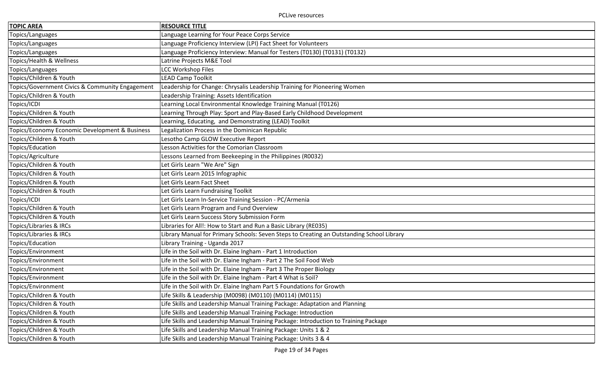| <b>TOPIC AREA</b>                               | <b>RESOURCE TITLE</b>                                                                     |
|-------------------------------------------------|-------------------------------------------------------------------------------------------|
| Topics/Languages                                | Language Learning for Your Peace Corps Service                                            |
| Topics/Languages                                | Language Proficiency Interview (LPI) Fact Sheet for Volunteers                            |
| Topics/Languages                                | Language Proficiency Interview: Manual for Testers (T0130) (T0131) (T0132)                |
| Topics/Health & Wellness                        | Latrine Projects M&E Tool                                                                 |
| Topics/Languages                                | <b>LCC Workshop Files</b>                                                                 |
| Topics/Children & Youth                         | LEAD Camp Toolkit                                                                         |
| Topics/Government Civics & Community Engagement | Leadership for Change: Chrysalis Leadership Training for Pioneering Women                 |
| Topics/Children & Youth                         | Leadership Training: Assets Identification                                                |
| Topics/ICDI                                     | Learning Local Environmental Knowledge Training Manual (T0126)                            |
| Topics/Children & Youth                         | Learning Through Play: Sport and Play-Based Early Childhood Development                   |
| Topics/Children & Youth                         | Learning, Educating, and Demonstrating (LEAD) Toolkit                                     |
| Topics/Economy Economic Development & Business  | Legalization Process in the Dominican Republic                                            |
| Topics/Children & Youth                         | Lesotho Camp GLOW Executive Report                                                        |
| Topics/Education                                | Lesson Activities for the Comorian Classroom                                              |
| Topics/Agriculture                              | Lessons Learned from Beekeeping in the Philippines (R0032)                                |
| Topics/Children & Youth                         | Let Girls Learn "We Are" Sign                                                             |
| Topics/Children & Youth                         | Let Girls Learn 2015 Infographic                                                          |
| Topics/Children & Youth                         | Let Girls Learn Fact Sheet                                                                |
| Topics/Children & Youth                         | Let Girls Learn Fundraising Toolkit                                                       |
| Topics/ICDI                                     | Let Girls Learn In-Service Training Session - PC/Armenia                                  |
| Topics/Children & Youth                         | Let Girls Learn Program and Fund Overview                                                 |
| Topics/Children & Youth                         | Let Girls Learn Success Story Submission Form                                             |
| Topics/Libraries & IRCs                         | Libraries for All!: How to Start and Run a Basic Library (RE035)                          |
| Topics/Libraries & IRCs                         | Library Manual for Primary Schools: Seven Steps to Creating an Outstanding School Library |
| Topics/Education                                | Library Training - Uganda 2017                                                            |
| Topics/Environment                              | Life in the Soil with Dr. Elaine Ingham - Part 1 Introduction                             |
| Topics/Environment                              | Life in the Soil with Dr. Elaine Ingham - Part 2 The Soil Food Web                        |
| Topics/Environment                              | Life in the Soil with Dr. Elaine Ingham - Part 3 The Proper Biology                       |
| Topics/Environment                              | Life in the Soil with Dr. Elaine Ingham - Part 4 What is Soil?                            |
| Topics/Environment                              | Life in the Soil with Dr. Elaine Ingham Part 5 Foundations for Growth                     |
| Topics/Children & Youth                         | Life Skills & Leadership (M0098) (M0110) (M0114) (M0115)                                  |
| Topics/Children & Youth                         | Life Skills and Leadership Manual Training Package: Adaptation and Planning               |
| Topics/Children & Youth                         | Life Skills and Leadership Manual Training Package: Introduction                          |
| Topics/Children & Youth                         | Life Skills and Leadership Manual Training Package: Introduction to Training Package      |
| Topics/Children & Youth                         | Life Skills and Leadership Manual Training Package: Units 1 & 2                           |
| Topics/Children & Youth                         | Life Skills and Leadership Manual Training Package: Units 3 & 4                           |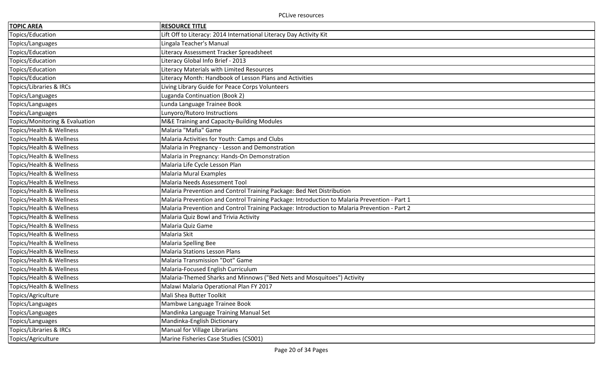| <b>TOPIC AREA</b>              | <b>RESOURCE TITLE</b>                                                                        |
|--------------------------------|----------------------------------------------------------------------------------------------|
| Topics/Education               | Lift Off to Literacy: 2014 International Literacy Day Activity Kit                           |
| Topics/Languages               | Lingala Teacher's Manual                                                                     |
| Topics/Education               | Literacy Assessment Tracker Spreadsheet                                                      |
| Topics/Education               | Literacy Global Info Brief - 2013                                                            |
| Topics/Education               | Literacy Materials with Limited Resources                                                    |
| Topics/Education               | Literacy Month: Handbook of Lesson Plans and Activities                                      |
| Topics/Libraries & IRCs        | Living Library Guide for Peace Corps Volunteers                                              |
| Topics/Languages               | Luganda Continuation (Book 2)                                                                |
| Topics/Languages               | Lunda Language Trainee Book                                                                  |
| Topics/Languages               | Lunyoro/Rutoro Instructions                                                                  |
| Topics/Monitoring & Evaluation | M&E Training and Capacity-Building Modules                                                   |
| Topics/Health & Wellness       | Malaria "Mafia" Game                                                                         |
| Topics/Health & Wellness       | Malaria Activities for Youth: Camps and Clubs                                                |
| Topics/Health & Wellness       | Malaria in Pregnancy - Lesson and Demonstration                                              |
| Topics/Health & Wellness       | Malaria in Pregnancy: Hands-On Demonstration                                                 |
| Topics/Health & Wellness       | Malaria Life Cycle Lesson Plan                                                               |
| Topics/Health & Wellness       | <b>Malaria Mural Examples</b>                                                                |
| Topics/Health & Wellness       | Malaria Needs Assessment Tool                                                                |
| Topics/Health & Wellness       | Malaria Prevention and Control Training Package: Bed Net Distribution                        |
| Topics/Health & Wellness       | Malaria Prevention and Control Training Package: Introduction to Malaria Prevention - Part 1 |
| Topics/Health & Wellness       | Malaria Prevention and Control Training Package: Introduction to Malaria Prevention - Part 2 |
| Topics/Health & Wellness       | Malaria Quiz Bowl and Trivia Activity                                                        |
| Topics/Health & Wellness       | Malaria Quiz Game                                                                            |
| Topics/Health & Wellness       | Malaria Skit                                                                                 |
| Topics/Health & Wellness       | <b>Malaria Spelling Bee</b>                                                                  |
| Topics/Health & Wellness       | <b>Malaria Stations Lesson Plans</b>                                                         |
| Topics/Health & Wellness       | Malaria Transmission "Dot" Game                                                              |
| Topics/Health & Wellness       | Malaria-Focused English Curriculum                                                           |
| Topics/Health & Wellness       | Malaria-Themed Sharks and Minnows ("Bed Nets and Mosquitoes") Activity                       |
| Topics/Health & Wellness       | Malawi Malaria Operational Plan FY 2017                                                      |
| Topics/Agriculture             | Mali Shea Butter Toolkit                                                                     |
| Topics/Languages               | Mambwe Language Trainee Book                                                                 |
| Topics/Languages               | Mandinka Language Training Manual Set                                                        |
| Topics/Languages               | Mandinka-English Dictionary                                                                  |
| Topics/Libraries & IRCs        | Manual for Village Librarians                                                                |
| Topics/Agriculture             | Marine Fisheries Case Studies (CS001)                                                        |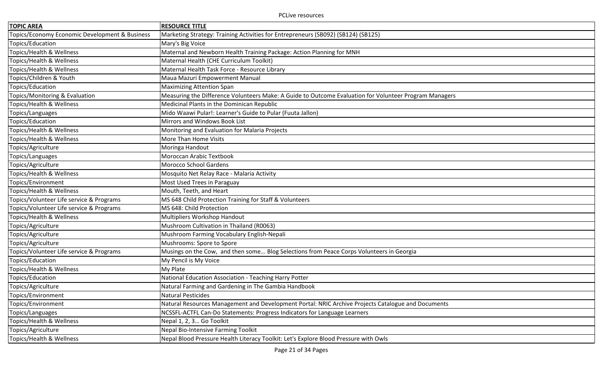| <b>TOPIC AREA</b>                              | <b>RESOURCE TITLE</b>                                                                                  |
|------------------------------------------------|--------------------------------------------------------------------------------------------------------|
| Topics/Economy Economic Development & Business | Marketing Strategy: Training Activities for Entrepreneurs (SB092) (SB124) (SB125)                      |
| Topics/Education                               | Mary's Big Voice                                                                                       |
| Topics/Health & Wellness                       | Maternal and Newborn Health Training Package: Action Planning for MNH                                  |
| Topics/Health & Wellness                       | Maternal Health (CHE Curriculum Toolkit)                                                               |
| Topics/Health & Wellness                       | Maternal Health Task Force - Resource Library                                                          |
| Topics/Children & Youth                        | Maua Mazuri Empowerment Manual                                                                         |
| Topics/Education                               | Maximizing Attention Span                                                                              |
| Topics/Monitoring & Evaluation                 | Measuring the Difference Volunteers Make: A Guide to Outcome Evaluation for Volunteer Program Managers |
| Topics/Health & Wellness                       | Medicinal Plants in the Dominican Republic                                                             |
| Topics/Languages                               | Mido Waawi Pular!: Learner's Guide to Pular (Fuuta Jallon)                                             |
| Topics/Education                               | Mirrors and Windows Book List                                                                          |
| Topics/Health & Wellness                       | Monitoring and Evaluation for Malaria Projects                                                         |
| Topics/Health & Wellness                       | More Than Home Visits                                                                                  |
| Topics/Agriculture                             | Moringa Handout                                                                                        |
| Topics/Languages                               | Moroccan Arabic Textbook                                                                               |
| Topics/Agriculture                             | Morocco School Gardens                                                                                 |
| Topics/Health & Wellness                       | Mosquito Net Relay Race - Malaria Activity                                                             |
| Topics/Environment                             | Most Used Trees in Paraguay                                                                            |
| Topics/Health & Wellness                       | Mouth, Teeth, and Heart                                                                                |
| Topics/Volunteer Life service & Programs       | MS 648 Child Protection Training for Staff & Volunteers                                                |
| Topics/Volunteer Life service & Programs       | MS 648: Child Protection                                                                               |
| Topics/Health & Wellness                       | Multipliers Workshop Handout                                                                           |
| Topics/Agriculture                             | Mushroom Cultivation in Thailand (R0063)                                                               |
| Topics/Agriculture                             | Mushroom Farming Vocabulary English-Nepali                                                             |
| Topics/Agriculture                             | Mushrooms: Spore to Spore                                                                              |
| Topics/Volunteer Life service & Programs       | Musings on the Cow, and then some Blog Selections from Peace Corps Volunteers in Georgia               |
| Topics/Education                               | My Pencil is My Voice                                                                                  |
| Topics/Health & Wellness                       | My Plate                                                                                               |
| Topics/Education                               | National Education Association - Teaching Harry Potter                                                 |
| Topics/Agriculture                             | Natural Farming and Gardening in The Gambia Handbook                                                   |
| Topics/Environment                             | Natural Pesticides                                                                                     |
| Topics/Environment                             | Natural Resources Management and Development Portal: NRIC Archive Projects Catalogue and Documents     |
| Topics/Languages                               | NCSSFL-ACTFL Can-Do Statements: Progress Indicators for Language Learners                              |
| Topics/Health & Wellness                       | Nepal 1, 2, 3 Go Toolkit                                                                               |
| Topics/Agriculture                             | Nepal Bio-Intensive Farming Toolkit                                                                    |
| Topics/Health & Wellness                       | Nepal Blood Pressure Health Literacy Toolkit: Let's Explore Blood Pressure with Owls                   |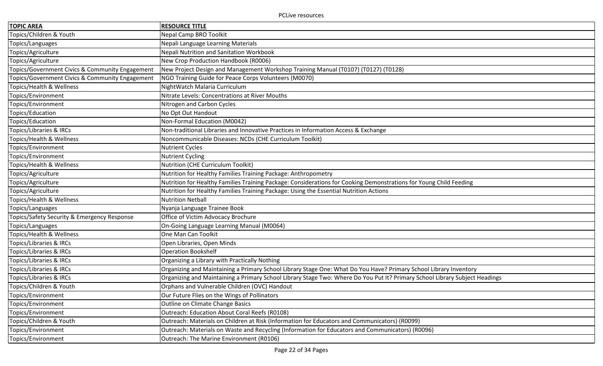| <b>TOPIC AREA</b>                               | <b>RESOURCE TITLE</b>                                                                                                       |
|-------------------------------------------------|-----------------------------------------------------------------------------------------------------------------------------|
| Topics/Children & Youth                         | <b>Nepal Camp BRO Toolkit</b>                                                                                               |
| Topics/Languages                                | Nepali Language Learning Materials                                                                                          |
| Topics/Agriculture                              | Nepali Nutrition and Sanitation Workbook                                                                                    |
| Topics/Agriculture                              | New Crop Production Handbook (R0006)                                                                                        |
| Topics/Government Civics & Community Engagement | New Project Design and Management Workshop Training Manual (T0107) (T0127) (T0128)                                          |
| Topics/Government Civics & Community Engagement | NGO Training Guide for Peace Corps Volunteers (M0070)                                                                       |
| Topics/Health & Wellness                        | NightWatch Malaria Curriculum                                                                                               |
| Topics/Environment                              | Nitrate Levels: Concentrations at River Mouths                                                                              |
| Topics/Environment                              | Nitrogen and Carbon Cycles                                                                                                  |
| Topics/Education                                | No Opt Out Handout                                                                                                          |
| Topics/Education                                | Non-Formal Education (M0042)                                                                                                |
| Topics/Libraries & IRCs                         | Non-traditional Libraries and Innovative Practices in Information Access & Exchange                                         |
| Topics/Health & Wellness                        | Noncommunicable Diseases: NCDs (CHE Curriculum Toolkit)                                                                     |
| Topics/Environment                              | <b>Nutrient Cycles</b>                                                                                                      |
| Topics/Environment                              | <b>Nutrient Cycling</b>                                                                                                     |
| Topics/Health & Wellness                        | Nutrition (CHE Curriculum Toolkit)                                                                                          |
| Topics/Agriculture                              | Nutrition for Healthy Families Training Package: Anthropometry                                                              |
| Topics/Agriculture                              | Nutrition for Healthy Families Training Package: Considerations for Cooking Demonstrations for Young Child Feeding          |
| Topics/Agriculture                              | Nutrition for Healthy Families Training Package: Using the Essential Nutrition Actions                                      |
| Topics/Health & Wellness                        | <b>Nutrition Netball</b>                                                                                                    |
| Topics/Languages                                | Nyanja Language Trainee Book                                                                                                |
| Topics/Safety Security & Emergency Response     | Office of Victim Advocacy Brochure                                                                                          |
| Topics/Languages                                | On-Going Language Learning Manual (M0064)                                                                                   |
| Topics/Health & Wellness                        | One Man Can Toolkit                                                                                                         |
| Topics/Libraries & IRCs                         | Open Libraries, Open Minds                                                                                                  |
| Topics/Libraries & IRCs                         | <b>Operation Bookshelf</b>                                                                                                  |
| Topics/Libraries & IRCs                         | Organizing a Library with Practically Nothing                                                                               |
| Topics/Libraries & IRCs                         | Organizing and Maintaining a Primary School Library Stage One: What Do You Have? Primary School Library Inventory           |
| Topics/Libraries & IRCs                         | Organizing and Maintaining a Primary School Library Stage Two: Where Do You Put It? Primary School Library Subject Headings |
| Topics/Children & Youth                         | Orphans and Vulnerable Children (OVC) Handout                                                                               |
| Topics/Environment                              | Our Future Flies on the Wings of Pollinators                                                                                |
| Topics/Environment                              | Outline on Climate Change Basics                                                                                            |
| Topics/Environment                              | Outreach: Education About Coral Reefs (R0108)                                                                               |
| Topics/Children & Youth                         | Outreach: Materials on Children at Risk (Information for Educators and Communicators) (R0099)                               |
| Topics/Environment                              | Outreach: Materials on Waste and Recycling (Information for Educators and Communicators) (R0096)                            |
| Topics/Environment                              | Outreach: The Marine Environment (R0106)                                                                                    |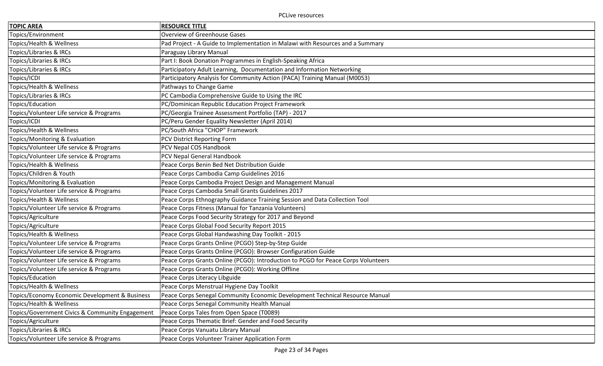| <b>TOPIC AREA</b>                               | <b>RESOURCE TITLE</b>                                                             |
|-------------------------------------------------|-----------------------------------------------------------------------------------|
| Topics/Environment                              | <b>Overview of Greenhouse Gases</b>                                               |
| Topics/Health & Wellness                        | Pad Project - A Guide to Implementation in Malawi with Resources and a Summary    |
| Topics/Libraries & IRCs                         | Paraguay Library Manual                                                           |
| Topics/Libraries & IRCs                         | Part I: Book Donation Programmes in English-Speaking Africa                       |
| Topics/Libraries & IRCs                         | Participatory Adult Learning, Documentation and Information Networking            |
| Topics/ICDI                                     | Participatory Analysis for Community Action (PACA) Training Manual (M0053)        |
| Topics/Health & Wellness                        | Pathways to Change Game                                                           |
| Topics/Libraries & IRCs                         | PC Cambodia Comprehensive Guide to Using the IRC                                  |
| Topics/Education                                | PC/Dominican Republic Education Project Framework                                 |
| Topics/Volunteer Life service & Programs        | PC/Georgia Trainee Assessment Portfolio (TAP) - 2017                              |
| Topics/ICDI                                     | PC/Peru Gender Equality Newsletter (April 2014)                                   |
| Topics/Health & Wellness                        | PC/South Africa "CHOP" Framework                                                  |
| Topics/Monitoring & Evaluation                  | PCV District Reporting Form                                                       |
| Topics/Volunteer Life service & Programs        | PCV Nepal COS Handbook                                                            |
| Topics/Volunteer Life service & Programs        | PCV Nepal General Handbook                                                        |
| Topics/Health & Wellness                        | Peace Corps Benin Bed Net Distribution Guide                                      |
| Topics/Children & Youth                         | Peace Corps Cambodia Camp Guidelines 2016                                         |
| Topics/Monitoring & Evaluation                  | Peace Corps Cambodia Project Design and Management Manual                         |
| Topics/Volunteer Life service & Programs        | Peace Corps Cambodia Small Grants Guidelines 2017                                 |
| Topics/Health & Wellness                        | Peace Corps Ethnography Guidance Training Session and Data Collection Tool        |
| Topics/Volunteer Life service & Programs        | Peace Corps Fitness (Manual for Tanzania Volunteers)                              |
| Topics/Agriculture                              | Peace Corps Food Security Strategy for 2017 and Beyond                            |
| Topics/Agriculture                              | Peace Corps Global Food Security Report 2015                                      |
| Topics/Health & Wellness                        | Peace Corps Global Handwashing Day Toolkit - 2015                                 |
| Topics/Volunteer Life service & Programs        | Peace Corps Grants Online (PCGO) Step-by-Step Guide                               |
| Topics/Volunteer Life service & Programs        | Peace Corps Grants Online (PCGO): Browser Configuration Guide                     |
| Topics/Volunteer Life service & Programs        | Peace Corps Grants Online (PCGO): Introduction to PCGO for Peace Corps Volunteers |
| Topics/Volunteer Life service & Programs        | Peace Corps Grants Online (PCGO): Working Offline                                 |
| Topics/Education                                | Peace Corps Literacy Libguide                                                     |
| Topics/Health & Wellness                        | Peace Corps Menstrual Hygiene Day Toolkit                                         |
| Topics/Economy Economic Development & Business  | Peace Corps Senegal Community Economic Development Technical Resource Manual      |
| Topics/Health & Wellness                        | Peace Corps Senegal Community Health Manual                                       |
| Topics/Government Civics & Community Engagement | Peace Corps Tales from Open Space (T0089)                                         |
| Topics/Agriculture                              | Peace Corps Thematic Brief: Gender and Food Security                              |
| Topics/Libraries & IRCs                         | Peace Corps Vanuatu Library Manual                                                |
| Topics/Volunteer Life service & Programs        | Peace Corps Volunteer Trainer Application Form                                    |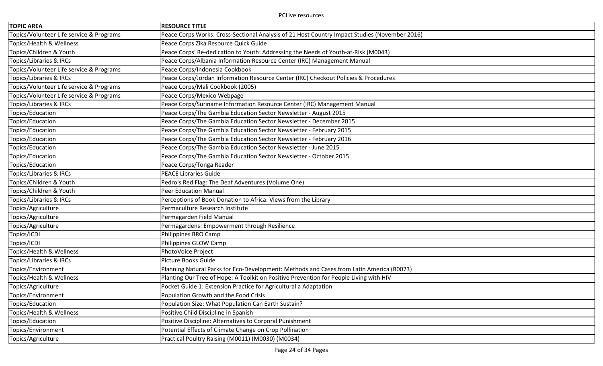| <b>TOPIC AREA</b>                        | <b>RESOURCE TITLE</b>                                                                         |
|------------------------------------------|-----------------------------------------------------------------------------------------------|
| Topics/Volunteer Life service & Programs | Peace Corps Works: Cross-Sectional Analysis of 21 Host Country Impact Studies (November 2016) |
| Topics/Health & Wellness                 | Peace Corps Zika Resource Quick Guide                                                         |
| Topics/Children & Youth                  | Peace Corps' Re-dedication to Youth: Addressing the Needs of Youth-at-Risk (M0043)            |
| Topics/Libraries & IRCs                  | Peace Corps/Albania Information Resource Center (IRC) Management Manual                       |
| Topics/Volunteer Life service & Programs | Peace Corps/Indonesia Cookbook                                                                |
| Topics/Libraries & IRCs                  | Peace Corps/Jordan Information Resource Center (IRC) Checkout Policies & Procedures           |
| Topics/Volunteer Life service & Programs | Peace Corps/Mali Cookbook (2005)                                                              |
| Topics/Volunteer Life service & Programs | Peace Corps/Mexico Webpage                                                                    |
| Topics/Libraries & IRCs                  | Peace Corps/Suriname Information Resource Center (IRC) Management Manual                      |
| Topics/Education                         | Peace Corps/The Gambia Education Sector Newsletter - August 2015                              |
| Topics/Education                         | Peace Corps/The Gambia Education Sector Newsletter - December 2015                            |
| Topics/Education                         | Peace Corps/The Gambia Education Sector Newsletter - February 2015                            |
| Topics/Education                         | Peace Corps/The Gambia Education Sector Newsletter - February 2016                            |
| Topics/Education                         | Peace Corps/The Gambia Education Sector Newsletter - June 2015                                |
| Topics/Education                         | Peace Corps/The Gambia Education Sector Newsletter - October 2015                             |
| Topics/Education                         | Peace Corps/Tonga Reader                                                                      |
| Topics/Libraries & IRCs                  | <b>PEACE Libraries Guide</b>                                                                  |
| Topics/Children & Youth                  | Pedro's Red Flag: The Deaf Adventures (Volume One)                                            |
| Topics/Children & Youth                  | <b>Peer Education Manual</b>                                                                  |
| Topics/Libraries & IRCs                  | Perceptions of Book Donation to Africa: Views from the Library                                |
| Topics/Agriculture                       | Permaculture Research Institute                                                               |
| Topics/Agriculture                       | Permagarden Field Manual                                                                      |
| Topics/Agriculture                       | Permagardens: Empowerment through Resilience                                                  |
| Topics/ICDI                              | Philippines BRO Camp                                                                          |
| Topics/ICDI                              | Philippines GLOW Camp                                                                         |
| Topics/Health & Wellness                 | PhotoVoice Project                                                                            |
| Topics/Libraries & IRCs                  | Picture Books Guide                                                                           |
| Topics/Environment                       | Planning Natural Parks for Eco-Development: Methods and Cases from Latin America (R0073)      |
| Topics/Health & Wellness                 | Planting Our Tree of Hope: A Toolkit on Positive Prevention for People Living with HIV        |
| Topics/Agriculture                       | Pocket Guide 1: Extension Practice for Agricultural a Adaptation                              |
| Topics/Environment                       | Population Growth and the Food Crisis                                                         |
| Topics/Education                         | Population Size: What Population Can Earth Sustain?                                           |
| Topics/Health & Wellness                 | Positive Child Discipline in Spanish                                                          |
| Topics/Education                         | Positive Discipline: Alternatives to Corporal Punishment                                      |
| Topics/Environment                       | Potential Effects of Climate Change on Crop Pollination                                       |
| Topics/Agriculture                       | Practical Poultry Raising (M0011) (M0030) (M0034)                                             |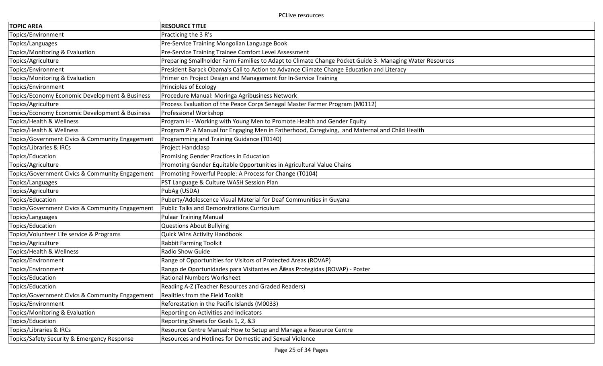| <b>TOPIC AREA</b>                               | <b>RESOURCE TITLE</b>                                                                                   |
|-------------------------------------------------|---------------------------------------------------------------------------------------------------------|
| Topics/Environment                              | Practicing the 3 R's                                                                                    |
| Topics/Languages                                | Pre-Service Training Mongolian Language Book                                                            |
| Topics/Monitoring & Evaluation                  | Pre-Service Training Trainee Comfort Level Assessment                                                   |
| Topics/Agriculture                              | Preparing Smallholder Farm Families to Adapt to Climate Change Pocket Guide 3: Managing Water Resources |
| Topics/Environment                              | President Barack Obama's Call to Action to Advance Climate Change Education and Literacy                |
| Topics/Monitoring & Evaluation                  | Primer on Project Design and Management for In-Service Training                                         |
| Topics/Environment                              | <b>Principles of Ecology</b>                                                                            |
| Topics/Economy Economic Development & Business  | Procedure Manual: Moringa Agribusiness Network                                                          |
| Topics/Agriculture                              | Process Evaluation of the Peace Corps Senegal Master Farmer Program (M0112)                             |
| Topics/Economy Economic Development & Business  | Professional Workshop                                                                                   |
| Topics/Health & Wellness                        | Program H - Working with Young Men to Promote Health and Gender Equity                                  |
| Topics/Health & Wellness                        | Program P: A Manual for Engaging Men in Fatherhood, Caregiving, and Maternal and Child Health           |
| Topics/Government Civics & Community Engagement | Programming and Training Guidance (T0140)                                                               |
| Topics/Libraries & IRCs                         | Project Handclasp                                                                                       |
| Topics/Education                                | Promising Gender Practices in Education                                                                 |
| Topics/Agriculture                              | Promoting Gender Equitable Opportunities in Agricultural Value Chains                                   |
| Topics/Government Civics & Community Engagement | Promoting Powerful People: A Process for Change (T0104)                                                 |
| Topics/Languages                                | PST Language & Culture WASH Session Plan                                                                |
| Topics/Agriculture                              | PubAg (USDA)                                                                                            |
| Topics/Education                                | Puberty/Adolescence Visual Material for Deaf Communities in Guyana                                      |
| Topics/Government Civics & Community Engagement | <b>Public Talks and Demonstrations Curriculum</b>                                                       |
| Topics/Languages                                | <b>Pulaar Training Manual</b>                                                                           |
| Topics/Education                                | <b>Questions About Bullying</b>                                                                         |
| Topics/Volunteer Life service & Programs        | <b>Quick Wins Activity Handbook</b>                                                                     |
| Topics/Agriculture                              | <b>Rabbit Farming Toolkit</b>                                                                           |
| Topics/Health & Wellness                        | Radio Show Guide                                                                                        |
| Topics/Environment                              | Range of Opportunities for Visitors of Protected Areas (ROVAP)                                          |
| Topics/Environment                              | Rango de Oportunidades para Visitantes en Ãieas Protegidas (ROVAP) - Poster                             |
| Topics/Education                                | <b>Rational Numbers Worksheet</b>                                                                       |
| Topics/Education                                | Reading A-Z (Teacher Resources and Graded Readers)                                                      |
| Topics/Government Civics & Community Engagement | Realities from the Field Toolkit                                                                        |
| Topics/Environment                              | Reforestation in the Pacific Islands (M0033)                                                            |
| Topics/Monitoring & Evaluation                  | Reporting on Activities and Indicators                                                                  |
| Topics/Education                                | Reporting Sheets for Goals 1, 2, &3                                                                     |
| Topics/Libraries & IRCs                         | Resource Centre Manual: How to Setup and Manage a Resource Centre                                       |
| Topics/Safety Security & Emergency Response     | Resources and Hotlines for Domestic and Sexual Violence                                                 |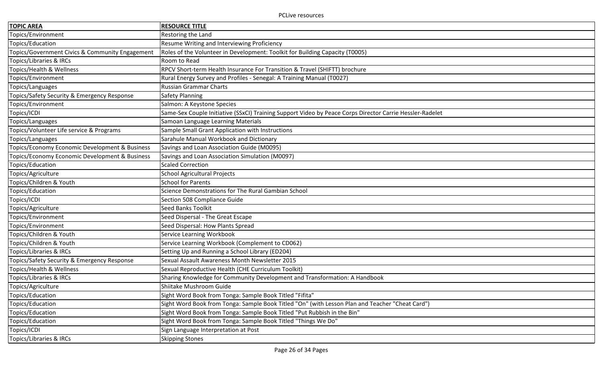| <b>TOPIC AREA</b>                               | <b>RESOURCE TITLE</b>                                                                                    |
|-------------------------------------------------|----------------------------------------------------------------------------------------------------------|
| Topics/Environment                              | Restoring the Land                                                                                       |
| Topics/Education                                | Resume Writing and Interviewing Proficiency                                                              |
| Topics/Government Civics & Community Engagement | Roles of the Volunteer in Development: Toolkit for Building Capacity (T0005)                             |
| Topics/Libraries & IRCs                         | Room to Read                                                                                             |
| Topics/Health & Wellness                        | RPCV Short-term Health Insurance For Transition & Travel (SHIFTT) brochure                               |
| Topics/Environment                              | Rural Energy Survey and Profiles - Senegal: A Training Manual (T0027)                                    |
| Topics/Languages                                | <b>Russian Grammar Charts</b>                                                                            |
| Topics/Safety Security & Emergency Response     | <b>Safety Planning</b>                                                                                   |
| Topics/Environment                              | Salmon: A Keystone Species                                                                               |
| Topics/ICDI                                     | Same-Sex Couple Initiative (SSxCI) Training Support Video by Peace Corps Director Carrie Hessler-Radelet |
| Topics/Languages                                | Samoan Language Learning Materials                                                                       |
| Topics/Volunteer Life service & Programs        | Sample Small Grant Application with Instructions                                                         |
| Topics/Languages                                | Sarahule Manual Workbook and Dictionary                                                                  |
| Topics/Economy Economic Development & Business  | Savings and Loan Association Guide (M0095)                                                               |
| Topics/Economy Economic Development & Business  | Savings and Loan Association Simulation (M0097)                                                          |
| Topics/Education                                | <b>Scaled Correction</b>                                                                                 |
| Topics/Agriculture                              | <b>School Agricultural Projects</b>                                                                      |
| Topics/Children & Youth                         | <b>School for Parents</b>                                                                                |
| Topics/Education                                | Science Demonstrations for The Rural Gambian School                                                      |
| Topics/ICDI                                     | Section 508 Compliance Guide                                                                             |
| Topics/Agriculture                              | <b>Seed Banks Toolkit</b>                                                                                |
| Topics/Environment                              | Seed Dispersal - The Great Escape                                                                        |
| Topics/Environment                              | Seed Dispersal: How Plants Spread                                                                        |
| Topics/Children & Youth                         | Service Learning Workbook                                                                                |
| Topics/Children & Youth                         | Service Learning Workbook (Complement to CD062)                                                          |
| Topics/Libraries & IRCs                         | Setting Up and Running a School Library (ED204)                                                          |
| Topics/Safety Security & Emergency Response     | Sexual Assault Awareness Month Newsletter 2015                                                           |
| Topics/Health & Wellness                        | Sexual Reproductive Health (CHE Curriculum Toolkit)                                                      |
| Topics/Libraries & IRCs                         | Sharing Knowledge for Community Development and Transformation: A Handbook                               |
| Topics/Agriculture                              | Shiitake Mushroom Guide                                                                                  |
| Topics/Education                                | Sight Word Book from Tonga: Sample Book Titled "Fifita"                                                  |
| Topics/Education                                | Sight Word Book from Tonga: Sample Book Titled "On" (with Lesson Plan and Teacher "Cheat Card")          |
| Topics/Education                                | Sight Word Book from Tonga: Sample Book Titled "Put Rubbish in the Bin"                                  |
| Topics/Education                                | Sight Word Book from Tonga: Sample Book Titled "Things We Do"                                            |
| Topics/ICDI                                     | Sign Language Interpretation at Post                                                                     |
| Topics/Libraries & IRCs                         | Skipping Stones                                                                                          |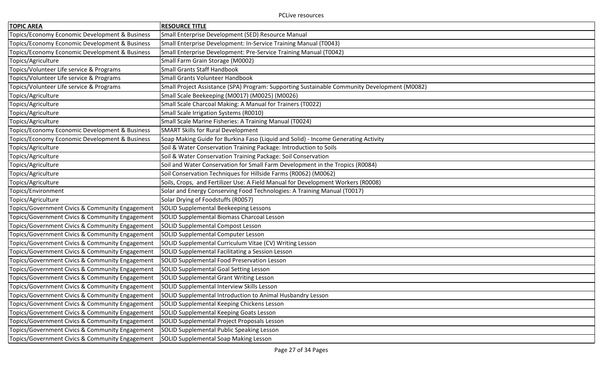| <b>TOPIC AREA</b>                               | <b>RESOURCE TITLE</b>                                                                        |
|-------------------------------------------------|----------------------------------------------------------------------------------------------|
| Topics/Economy Economic Development & Business  | Small Enterprise Development (SED) Resource Manual                                           |
| Topics/Economy Economic Development & Business  | Small Enterprise Development: In-Service Training Manual (T0043)                             |
| Topics/Economy Economic Development & Business  | Small Enterprise Development: Pre-Service Training Manual (T0042)                            |
| Topics/Agriculture                              | Small Farm Grain Storage (M0002)                                                             |
| Topics/Volunteer Life service & Programs        | <b>Small Grants Staff Handbook</b>                                                           |
| Topics/Volunteer Life service & Programs        | Small Grants Volunteer Handbook                                                              |
| Topics/Volunteer Life service & Programs        | Small Project Assistance (SPA) Program: Supporting Sustainable Community Development (M0082) |
| Topics/Agriculture                              | Small Scale Beekeeping (M0017) (M0025) (M0026)                                               |
| Topics/Agriculture                              | Small Scale Charcoal Making: A Manual for Trainers (T0022)                                   |
| Topics/Agriculture                              | Small Scale Irrigation Systems (R0010)                                                       |
| Topics/Agriculture                              | Small Scale Marine Fisheries: A Training Manual (T0024)                                      |
| Topics/Economy Economic Development & Business  | <b>SMART Skills for Rural Development</b>                                                    |
| Topics/Economy Economic Development & Business  | Soap Making Guide for Burkina Faso (Liquid and Solid) - Income Generating Activity           |
| Topics/Agriculture                              | Soil & Water Conservation Training Package: Introduction to Soils                            |
| Topics/Agriculture                              | Soil & Water Conservation Training Package: Soil Conservation                                |
| Topics/Agriculture                              | Soil and Water Conservation for Small Farm Development in the Tropics (R0084)                |
| Topics/Agriculture                              | Soil Conservation Techniques for Hillside Farms (R0062) (M0062)                              |
| Topics/Agriculture                              | Soils, Crops, and Fertilizer Use: A Field Manual for Development Workers (R0008)             |
| Topics/Environment                              | Solar and Energy Conserving Food Technologies: A Training Manual (T0017)                     |
| Topics/Agriculture                              | Solar Drying of Foodstuffs (R0057)                                                           |
| Topics/Government Civics & Community Engagement | SOLID Supplemental Beekeeping Lessons                                                        |
| Topics/Government Civics & Community Engagement | SOLID Supplemental Biomass Charcoal Lesson                                                   |
| Topics/Government Civics & Community Engagement | SOLID Supplemental Compost Lesson                                                            |
| Topics/Government Civics & Community Engagement | SOLID Supplemental Computer Lesson                                                           |
| Topics/Government Civics & Community Engagement | SOLID Supplemental Curriculum Vitae (CV) Writing Lesson                                      |
| Topics/Government Civics & Community Engagement | SOLID Supplemental Facilitating a Session Lesson                                             |
| Topics/Government Civics & Community Engagement | SOLID Supplemental Food Preservation Lesson                                                  |
| Topics/Government Civics & Community Engagement | <b>SOLID Supplemental Goal Setting Lesson</b>                                                |
| Topics/Government Civics & Community Engagement | <b>SOLID Supplemental Grant Writing Lesson</b>                                               |
| Topics/Government Civics & Community Engagement | SOLID Supplemental Interview Skills Lesson                                                   |
| Topics/Government Civics & Community Engagement | SOLID Supplemental Introduction to Animal Husbandry Lesson                                   |
| Topics/Government Civics & Community Engagement | SOLID Supplemental Keeping Chickens Lesson                                                   |
| Topics/Government Civics & Community Engagement | SOLID Supplemental Keeping Goats Lesson                                                      |
| Topics/Government Civics & Community Engagement | SOLID Supplemental Project Proposals Lesson                                                  |
| Topics/Government Civics & Community Engagement | SOLID Supplemental Public Speaking Lesson                                                    |
| Topics/Government Civics & Community Engagement | SOLID Supplemental Soap Making Lesson                                                        |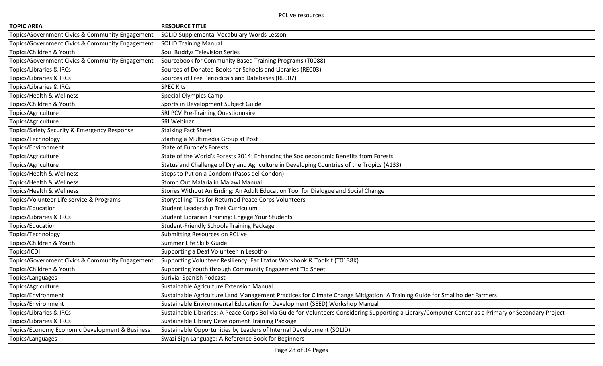| <b>TOPIC AREA</b>                               | <b>RESOURCE TITLE</b>                                                                                                                                |
|-------------------------------------------------|------------------------------------------------------------------------------------------------------------------------------------------------------|
| Topics/Government Civics & Community Engagement | SOLID Supplemental Vocabulary Words Lesson                                                                                                           |
| Topics/Government Civics & Community Engagement | <b>SOLID Training Manual</b>                                                                                                                         |
| Topics/Children & Youth                         | Soul Buddyz Television Series                                                                                                                        |
| Topics/Government Civics & Community Engagement | Sourcebook for Community Based Training Programs (T0088)                                                                                             |
| <b>Topics/Libraries &amp; IRCs</b>              | Sources of Donated Books for Schools and Libraries (RE003)                                                                                           |
| Topics/Libraries & IRCs                         | Sources of Free Periodicals and Databases (RE007)                                                                                                    |
| Topics/Libraries & IRCs                         | <b>SPEC Kits</b>                                                                                                                                     |
| Topics/Health & Wellness                        | <b>Special Olympics Camp</b>                                                                                                                         |
| Topics/Children & Youth                         | Sports in Development Subject Guide                                                                                                                  |
| Topics/Agriculture                              | SRI PCV Pre-Training Questionnaire                                                                                                                   |
| Topics/Agriculture                              | SRI Webinar                                                                                                                                          |
| Topics/Safety Security & Emergency Response     | <b>Stalking Fact Sheet</b>                                                                                                                           |
| Topics/Technology                               | Starting a Multimedia Group at Post                                                                                                                  |
| Topics/Environment                              | <b>State of Europe's Forests</b>                                                                                                                     |
| Topics/Agriculture                              | State of the World's Forests 2014: Enhancing the Socioeconomic Benefits from Forests                                                                 |
| Topics/Agriculture                              | Status and Challenge of Dryland Agriculture in Developing Countries of the Tropics (A133)                                                            |
| Topics/Health & Wellness                        | Steps to Put on a Condom (Pasos del Condon)                                                                                                          |
| Topics/Health & Wellness                        | Stomp Out Malaria in Malawi Manual                                                                                                                   |
| Topics/Health & Wellness                        | Stories Without An Ending: An Adult Education Tool for Dialogue and Social Change                                                                    |
| Topics/Volunteer Life service & Programs        | Storytelling Tips for Returned Peace Corps Volunteers                                                                                                |
| Topics/Education                                | Student Leadership Trek Curriculum                                                                                                                   |
| Topics/Libraries & IRCs                         | Student Librarian Training: Engage Your Students                                                                                                     |
| Topics/Education                                | <b>Student-Friendly Schools Training Package</b>                                                                                                     |
| Topics/Technology                               | Submitting Resources on PCLive                                                                                                                       |
| Topics/Children & Youth                         | Summer Life Skills Guide                                                                                                                             |
| Topics/ICDI                                     | Supporting a Deaf Volunteer in Lesotho                                                                                                               |
| Topics/Government Civics & Community Engagement | Supporting Volunteer Resiliency: Facilitator Workbook & Toolkit (T0138K)                                                                             |
| Topics/Children & Youth                         | Supporting Youth through Community Engagement Tip Sheet                                                                                              |
| Topics/Languages                                | <b>Surivial Spanish Podcast</b>                                                                                                                      |
| Topics/Agriculture                              | Sustainable Agriculture Extension Manual                                                                                                             |
| Topics/Environment                              | Sustainable Agriculture Land Management Practices for Climate Change Mitigation: A Training Guide for Smallholder Farmers                            |
| Topics/Environment                              | Sustainable Environmental Education for Development (SEED) Workshop Manual                                                                           |
| Topics/Libraries & IRCs                         | Sustainable Libraries: A Peace Corps Bolivia Guide for Volunteers Considering Supporting a Library/Computer Center as a Primary or Secondary Project |
| Topics/Libraries & IRCs                         | Sustainable Library Development Training Package                                                                                                     |
| Topics/Economy Economic Development & Business  | Sustainable Opportunities by Leaders of Internal Development (SOLID)                                                                                 |
| Topics/Languages                                | Swazi Sign Language: A Reference Book for Beginners                                                                                                  |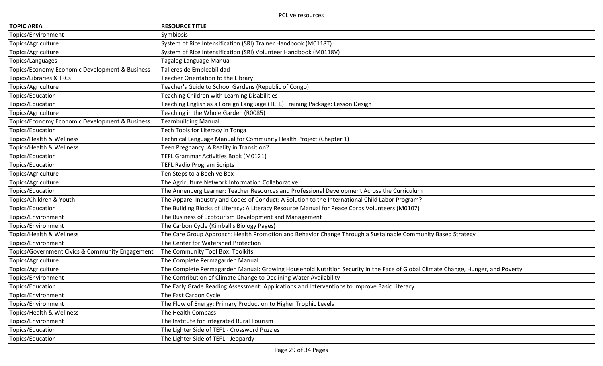| <b>TOPIC AREA</b>                               | <b>RESOURCE TITLE</b>                                                                                                           |
|-------------------------------------------------|---------------------------------------------------------------------------------------------------------------------------------|
| Topics/Environment                              | Symbiosis                                                                                                                       |
| Topics/Agriculture                              | System of Rice Intensification (SRI) Trainer Handbook (M0118T)                                                                  |
| Topics/Agriculture                              | System of Rice Intensification (SRI) Volunteer Handbook (M0118V)                                                                |
| Topics/Languages                                | Tagalog Language Manual                                                                                                         |
| Topics/Economy Economic Development & Business  | Talleres de Empleabilidad                                                                                                       |
| Topics/Libraries & IRCs                         | Teacher Orientation to the Library                                                                                              |
| Topics/Agriculture                              | Teacher's Guide to School Gardens (Republic of Congo)                                                                           |
| Topics/Education                                | Teaching Children with Learning Disabilities                                                                                    |
| Topics/Education                                | Teaching English as a Foreign Language (TEFL) Training Package: Lesson Design                                                   |
| Topics/Agriculture                              | Teaching in the Whole Garden (R0085)                                                                                            |
| Topics/Economy Economic Development & Business  | <b>Teambuilding Manual</b>                                                                                                      |
| Topics/Education                                | Tech Tools for Literacy in Tonga                                                                                                |
| Topics/Health & Wellness                        | Technical Language Manual for Community Health Project (Chapter 1)                                                              |
| Topics/Health & Wellness                        | Teen Pregnancy: A Reality in Transition?                                                                                        |
| Topics/Education                                | TEFL Grammar Activities Book (M0121)                                                                                            |
| Topics/Education                                | <b>TEFL Radio Program Scripts</b>                                                                                               |
| Topics/Agriculture                              | Ten Steps to a Beehive Box                                                                                                      |
| Topics/Agriculture                              | The Agriculture Network Information Collaborative                                                                               |
| Topics/Education                                | The Annenberg Learner: Teacher Resources and Professional Development Across the Curriculum                                     |
| Topics/Children & Youth                         | The Apparel Industry and Codes of Conduct: A Solution to the International Child Labor Program?                                 |
| Topics/Education                                | The Building Blocks of Literacy: A Literacy Resource Manual for Peace Corps Volunteers (M0107)                                  |
| Topics/Environment                              | The Business of Ecotourism Development and Management                                                                           |
| Topics/Environment                              | The Carbon Cycle (Kimball's Biology Pages)                                                                                      |
| Topics/Health & Wellness                        | The Care Group Approach: Health Promotion and Behavior Change Through a Sustainable Community Based Strategy                    |
| Topics/Environment                              | The Center for Watershed Protection                                                                                             |
| Topics/Government Civics & Community Engagement | The Community Tool Box: Toolkits                                                                                                |
| Topics/Agriculture                              | The Complete Permagarden Manual                                                                                                 |
| Topics/Agriculture                              | The Complete Permagarden Manual: Growing Household Nutrition Security in the Face of Global Climate Change, Hunger, and Poverty |
| Topics/Environment                              | The Contribution of Climate Change to Declining Water Availability                                                              |
| Topics/Education                                | The Early Grade Reading Assessment: Applications and Interventions to Improve Basic Literacy                                    |
| Topics/Environment                              | The Fast Carbon Cycle                                                                                                           |
| Topics/Environment                              | The Flow of Energy: Primary Production to Higher Trophic Levels                                                                 |
| Topics/Health & Wellness                        | The Health Compass                                                                                                              |
| Topics/Environment                              | The Institute for Integrated Rural Tourism                                                                                      |
| Topics/Education                                | The Lighter Side of TEFL - Crossword Puzzles                                                                                    |
| Topics/Education                                | The Lighter Side of TEFL - Jeopardy                                                                                             |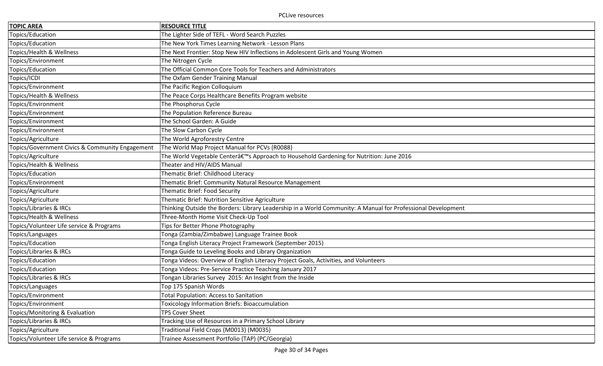| <b>TOPIC AREA</b>                               | <b>RESOURCE TITLE</b>                                                                                        |
|-------------------------------------------------|--------------------------------------------------------------------------------------------------------------|
| Topics/Education                                | The Lighter Side of TEFL - Word Search Puzzles                                                               |
| Topics/Education                                | The New York Times Learning Network - Lesson Plans                                                           |
| Topics/Health & Wellness                        | The Next Frontier: Stop New HIV Inflections in Adolescent Girls and Young Women                              |
| Topics/Environment                              | The Nitrogen Cycle                                                                                           |
| Topics/Education                                | The Official Common Core Tools for Teachers and Administrators                                               |
| Topics/ICDI                                     | The Oxfam Gender Training Manual                                                                             |
| Topics/Environment                              | The Pacific Region Colloquium                                                                                |
| Topics/Health & Wellness                        | The Peace Corps Healthcare Benefits Program website                                                          |
| Topics/Environment                              | The Phosphorus Cycle                                                                                         |
| Topics/Environment                              | The Population Reference Bureau                                                                              |
| Topics/Environment                              | The School Garden: A Guide                                                                                   |
| Topics/Environment                              | The Slow Carbon Cycle                                                                                        |
| Topics/Agriculture                              | The World Agroforestry Centre                                                                                |
| Topics/Government Civics & Community Engagement | The World Map Project Manual for PCVs (R0088)                                                                |
| Topics/Agriculture                              | The World Vegetable Centerâ€ <sup>™</sup> s Approach to Household Gardening for Nutrition: June 2016         |
| Topics/Health & Wellness                        | Theater and HIV/AIDS Manual                                                                                  |
| Topics/Education                                | Thematic Brief: Childhood Literacy                                                                           |
| Topics/Environment                              | Thematic Brief: Community Natural Resource Management                                                        |
| Topics/Agriculture                              | Thematic Brief: Food Security                                                                                |
| Topics/Agriculture                              | Thematic Brief: Nutrition Sensitive Agriculture                                                              |
| <b>Topics/Libraries &amp; IRCs</b>              | Thinking Outside the Borders: Library Leadership in a World Community: A Manual for Professional Development |
| Topics/Health & Wellness                        | Three-Month Home Visit Check-Up Tool                                                                         |
| Topics/Volunteer Life service & Programs        | Tips for Better Phone Photography                                                                            |
| Topics/Languages                                | Tonga (Zambia/Zimbabwe) Language Trainee Book                                                                |
| Topics/Education                                | Tonga English Literacy Project Framework (September 2015)                                                    |
| Topics/Libraries & IRCs                         | Tonga Guide to Leveling Books and Library Organization                                                       |
| Topics/Education                                | Tonga Videos: Overview of English Literacy Project Goals, Activities, and Volunteers                         |
| Topics/Education                                | Tonga Videos: Pre-Service Practice Teaching January 2017                                                     |
| Topics/Libraries & IRCs                         | Tongan Libraries Survey 2015: An Insight from the Inside                                                     |
| Topics/Languages                                | Top 175 Spanish Words                                                                                        |
| Topics/Environment                              | <b>Total Population: Access to Sanitation</b>                                                                |
| Topics/Environment                              | Toxicology Information Briefs: Bioaccumulation                                                               |
| Topics/Monitoring & Evaluation                  | <b>TPS Cover Sheet</b>                                                                                       |
| Topics/Libraries & IRCs                         | Tracking Use of Resources in a Primary School Library                                                        |
| Topics/Agriculture                              | Traditional Field Crops (M0013) (M0035)                                                                      |
| Topics/Volunteer Life service & Programs        | Trainee Assessment Portfolio (TAP) (PC/Georgia)                                                              |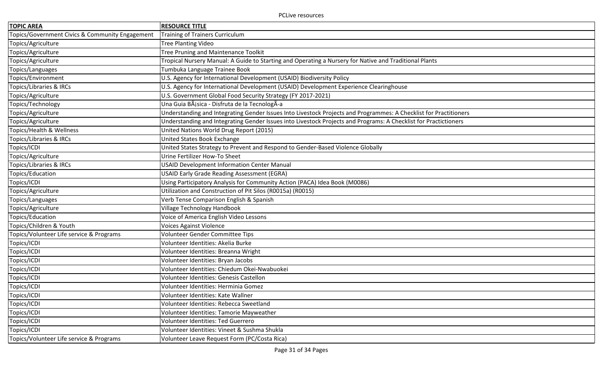| <b>TOPIC AREA</b>                               | <b>RESOURCE TITLE</b>                                                                                             |
|-------------------------------------------------|-------------------------------------------------------------------------------------------------------------------|
| Topics/Government Civics & Community Engagement | <b>Training of Trainers Curriculum</b>                                                                            |
| Topics/Agriculture                              | <b>Tree Planting Video</b>                                                                                        |
| Topics/Agriculture                              | Tree Pruning and Maintenance Toolkit                                                                              |
| Topics/Agriculture                              | Tropical Nursery Manual: A Guide to Starting and Operating a Nursery for Native and Traditional Plants            |
| Topics/Languages                                | Tumbuka Language Trainee Book                                                                                     |
| Topics/Environment                              | U.S. Agency for International Development (USAID) Biodiversity Policy                                             |
| Topics/Libraries & IRCs                         | U.S. Agency for International Development (USAID) Development Experience Clearinghouse                            |
| Topics/Agriculture                              | U.S. Government Global Food Security Strategy (FY 2017-2021)                                                      |
| Topics/Technology                               | Una Guia BÃisica - Disfruta de la TecnologÃ-a                                                                     |
| Topics/Agriculture                              | Understanding and Integrating Gender Issues Into Livestock Projects and Programmes: A Checklist for Practitioners |
| Topics/Agriculture                              | Understanding and Integrating Gender Issues into Livestock Projects and Programs: A Checklist for Practictioners  |
| Topics/Health & Wellness                        | United Nations World Drug Report (2015)                                                                           |
| Topics/Libraries & IRCs                         | United States Book Exchange                                                                                       |
| Topics/ICDI                                     | United States Strategy to Prevent and Respond to Gender-Based Violence Globally                                   |
| Topics/Agriculture                              | Urine Fertilizer How-To Sheet                                                                                     |
| Topics/Libraries & IRCs                         | <b>USAID Development Information Center Manual</b>                                                                |
| Topics/Education                                | <b>USAID Early Grade Reading Assessment (EGRA)</b>                                                                |
| Topics/ICDI                                     | Using Participatory Analysis for Community Action (PACA) Idea Book (M0086)                                        |
| Topics/Agriculture                              | Utilization and Construction of Pit Silos (R0015a) (R0015)                                                        |
| Topics/Languages                                | Verb Tense Comparison English & Spanish                                                                           |
| Topics/Agriculture                              | Village Technology Handbook                                                                                       |
| Topics/Education                                | Voice of America English Video Lessons                                                                            |
| Topics/Children & Youth                         | <b>Voices Against Violence</b>                                                                                    |
| Topics/Volunteer Life service & Programs        | Volunteer Gender Committee Tips                                                                                   |
| Topics/ICDI                                     | Volunteer Identities: Akelia Burke                                                                                |
| Topics/ICDI                                     | Volunteer Identities: Breanna Wright                                                                              |
| Topics/ICDI                                     | Volunteer Identities: Bryan Jacobs                                                                                |
| Topics/ICDI                                     | Volunteer Identities: Chiedum Okei-Nwabuokei                                                                      |
| Topics/ICDI                                     | Volunteer Identities: Genesis Castellon                                                                           |
| Topics/ICDI                                     | Volunteer Identities: Herminia Gomez                                                                              |
| Topics/ICDI                                     | Volunteer Identities: Kate Wallner                                                                                |
| Topics/ICDI                                     | Volunteer Identities: Rebecca Sweetland                                                                           |
| Topics/ICDI                                     | Volunteer Identities: Tamorie Mayweather                                                                          |
| Topics/ICDI                                     | <b>Volunteer Identities: Ted Guerrero</b>                                                                         |
| Topics/ICDI                                     | Volunteer Identities: Vineet & Sushma Shukla                                                                      |
| Topics/Volunteer Life service & Programs        | Volunteer Leave Request Form (PC/Costa Rica)                                                                      |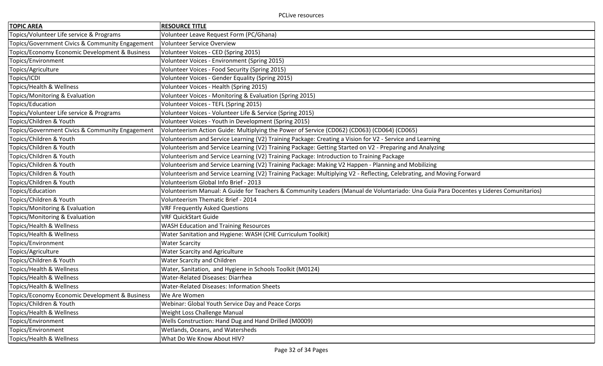| <b>TOPIC AREA</b>                               | <b>RESOURCE TITLE</b>                                                                                                                 |
|-------------------------------------------------|---------------------------------------------------------------------------------------------------------------------------------------|
| Topics/Volunteer Life service & Programs        | Volunteer Leave Request Form (PC/Ghana)                                                                                               |
| Topics/Government Civics & Community Engagement | <b>Volunteer Service Overview</b>                                                                                                     |
| Topics/Economy Economic Development & Business  | Volunteer Voices - CED (Spring 2015)                                                                                                  |
| Topics/Environment                              | Volunteer Voices - Environment (Spring 2015)                                                                                          |
| Topics/Agriculture                              | Volunteer Voices - Food Security (Spring 2015)                                                                                        |
| Topics/ICDI                                     | Volunteer Voices - Gender Equality (Spring 2015)                                                                                      |
| Topics/Health & Wellness                        | Volunteer Voices - Health (Spring 2015)                                                                                               |
| Topics/Monitoring & Evaluation                  | Volunteer Voices - Monitoring & Evaluation (Spring 2015)                                                                              |
| Topics/Education                                | Volunteer Voices - TEFL (Spring 2015)                                                                                                 |
| Topics/Volunteer Life service & Programs        | Volunteer Voices - Volunteer Life & Service (Spring 2015)                                                                             |
| Topics/Children & Youth                         | Volunteer Voices - Youth in Development (Spring 2015)                                                                                 |
| Topics/Government Civics & Community Engagement | Volunteerism Action Guide: Multiplying the Power of Service (CD062) (CD063) (CD064) (CD065)                                           |
| Topics/Children & Youth                         | Volunteerism and Service Learning (V2) Training Package: Creating a Vision for V2 - Service and Learning                              |
| Topics/Children & Youth                         | Volunteerism and Service Learning (V2) Training Package: Getting Started on V2 - Preparing and Analyzing                              |
| Topics/Children & Youth                         | Volunteerism and Service Learning (V2) Training Package: Introduction to Training Package                                             |
| Topics/Children & Youth                         | Volunteerism and Service Learning (V2) Training Package: Making V2 Happen - Planning and Mobilizing                                   |
| Topics/Children & Youth                         | Volunteerism and Service Learning (V2) Training Package: Multiplying V2 - Reflecting, Celebrating, and Moving Forward                 |
| Topics/Children & Youth                         | Volunteerism Global Info Brief - 2013                                                                                                 |
| Topics/Education                                | Volunteerism Manual: A Guide for Teachers & Community Leaders (Manual de Voluntariado: Una Guia Para Docentes y Lideres Comunitarios) |
| Topics/Children & Youth                         | Volunteerism Thematic Brief - 2014                                                                                                    |
| Topics/Monitoring & Evaluation                  | <b>VRF Frequently Asked Questions</b>                                                                                                 |
| Topics/Monitoring & Evaluation                  | <b>VRF QuickStart Guide</b>                                                                                                           |
| Topics/Health & Wellness                        | <b>WASH Education and Training Resources</b>                                                                                          |
| Topics/Health & Wellness                        | Water Sanitation and Hygiene: WASH (CHE Curriculum Toolkit)                                                                           |
| Topics/Environment                              | <b>Water Scarcity</b>                                                                                                                 |
| Topics/Agriculture                              | Water Scarcity and Agriculture                                                                                                        |
| Topics/Children & Youth                         | Water Scarcity and Children                                                                                                           |
| Topics/Health & Wellness                        | Water, Sanitation, and Hygiene in Schools Toolkit (M0124)                                                                             |
| Topics/Health & Wellness                        | Water-Related Diseases: Diarrhea                                                                                                      |
| Topics/Health & Wellness                        | <b>Water-Related Diseases: Information Sheets</b>                                                                                     |
| Topics/Economy Economic Development & Business  | We Are Women                                                                                                                          |
| Topics/Children & Youth                         | Webinar: Global Youth Service Day and Peace Corps                                                                                     |
| Topics/Health & Wellness                        | Weight Loss Challenge Manual                                                                                                          |
| Topics/Environment                              | Wells Construction: Hand Dug and Hand Drilled (M0009)                                                                                 |
| Topics/Environment                              | Wetlands, Oceans, and Watersheds                                                                                                      |
| Topics/Health & Wellness                        | What Do We Know About HIV?                                                                                                            |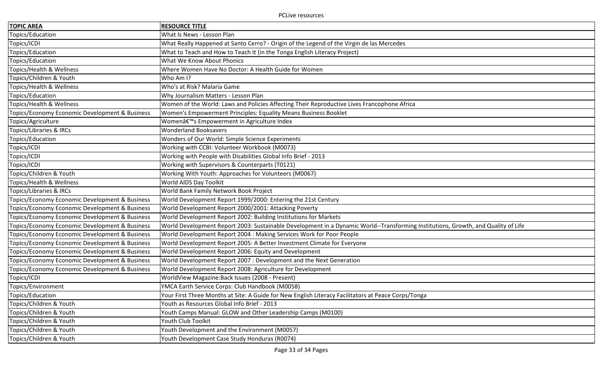| <b>TOPIC AREA</b>                              | <b>RESOURCE TITLE</b>                                                                                                             |
|------------------------------------------------|-----------------------------------------------------------------------------------------------------------------------------------|
| Topics/Education                               | What Is News - Lesson Plan                                                                                                        |
| Topics/ICDI                                    | What Really Happened at Santo Cerro? - Origin of the Legend of the Virgin de las Mercedes                                         |
| Topics/Education                               | What to Teach and How to Teach It (in the Tonga English Literacy Project)                                                         |
| Topics/Education                               | What We Know About Phonics                                                                                                        |
| Topics/Health & Wellness                       | Where Women Have No Doctor: A Health Guide for Women                                                                              |
| Topics/Children & Youth                        | Who Am I?                                                                                                                         |
| Topics/Health & Wellness                       | Who's at Risk? Malaria Game                                                                                                       |
| Topics/Education                               | Why Journalism Matters - Lesson Plan                                                                                              |
| Topics/Health & Wellness                       | Women of the World: Laws and Policies Affecting Their Reproductive Lives Francophone Africa                                       |
| Topics/Economy Economic Development & Business | Women's Empowerment Principles: Equality Means Business Booklet                                                                   |
| Topics/Agriculture                             | Women's Empowerment in Agriculture Index                                                                                          |
| Topics/Libraries & IRCs                        | <b>Wonderland Booksavers</b>                                                                                                      |
| Topics/Education                               | Wonders of Our World: Simple Science Experiments                                                                                  |
| Topics/ICDI                                    | Working with CCBI: Volunteer Workbook (M0073)                                                                                     |
| Topics/ICDI                                    | Working with People with Disabilities Global Info Brief - 2013                                                                    |
| Topics/ICDI                                    | Working with Supervisors & Counterparts (T0121)                                                                                   |
| Topics/Children & Youth                        | Working With Youth: Approaches for Volunteers (M0067)                                                                             |
| Topics/Health & Wellness                       | World AIDS Day Toolkit                                                                                                            |
| Topics/Libraries & IRCs                        | World Bank Family Network Book Project                                                                                            |
| Topics/Economy Economic Development & Business | World Development Report 1999/2000: Entering the 21st Century                                                                     |
| Topics/Economy Economic Development & Business | World Development Report 2000/2001: Attacking Poverty                                                                             |
| Topics/Economy Economic Development & Business | World Development Report 2002: Building Institutions for Markets                                                                  |
| Topics/Economy Economic Development & Business | World Development Report 2003: Sustainable Development in a Dynamic World--Transforming Institutions, Growth, and Quality of Life |
| Topics/Economy Economic Development & Business | World Development Report 2004 : Making Services Work for Poor People                                                              |
| Topics/Economy Economic Development & Business | World Development Report 2005: A Better Investment Climate for Everyone                                                           |
| Topics/Economy Economic Development & Business | World Development Report 2006: Equity and Development                                                                             |
| Topics/Economy Economic Development & Business | World Development Report 2007 : Development and the Next Generation                                                               |
| Topics/Economy Economic Development & Business | World Development Report 2008: Agriculture for Development                                                                        |
| Topics/ICDI                                    | WorldView Magazine: Back Issues (2008 - Present)                                                                                  |
| Topics/Environment                             | YMCA Earth Service Corps: Club Handbook (M0058)                                                                                   |
| Topics/Education                               | Your First Three Months at Site: A Guide for New English Literacy Facilitators at Peace Corps/Tonga                               |
| Topics/Children & Youth                        | Youth as Resources Global Info Brief - 2013                                                                                       |
| Topics/Children & Youth                        | Youth Camps Manual: GLOW and Other Leadership Camps (M0100)                                                                       |
| Topics/Children & Youth                        | Youth Club Toolkit                                                                                                                |
| Topics/Children & Youth                        | Youth Development and the Environment (M0057)                                                                                     |
| Topics/Children & Youth                        | Youth Development Case Study Honduras (R0074)                                                                                     |